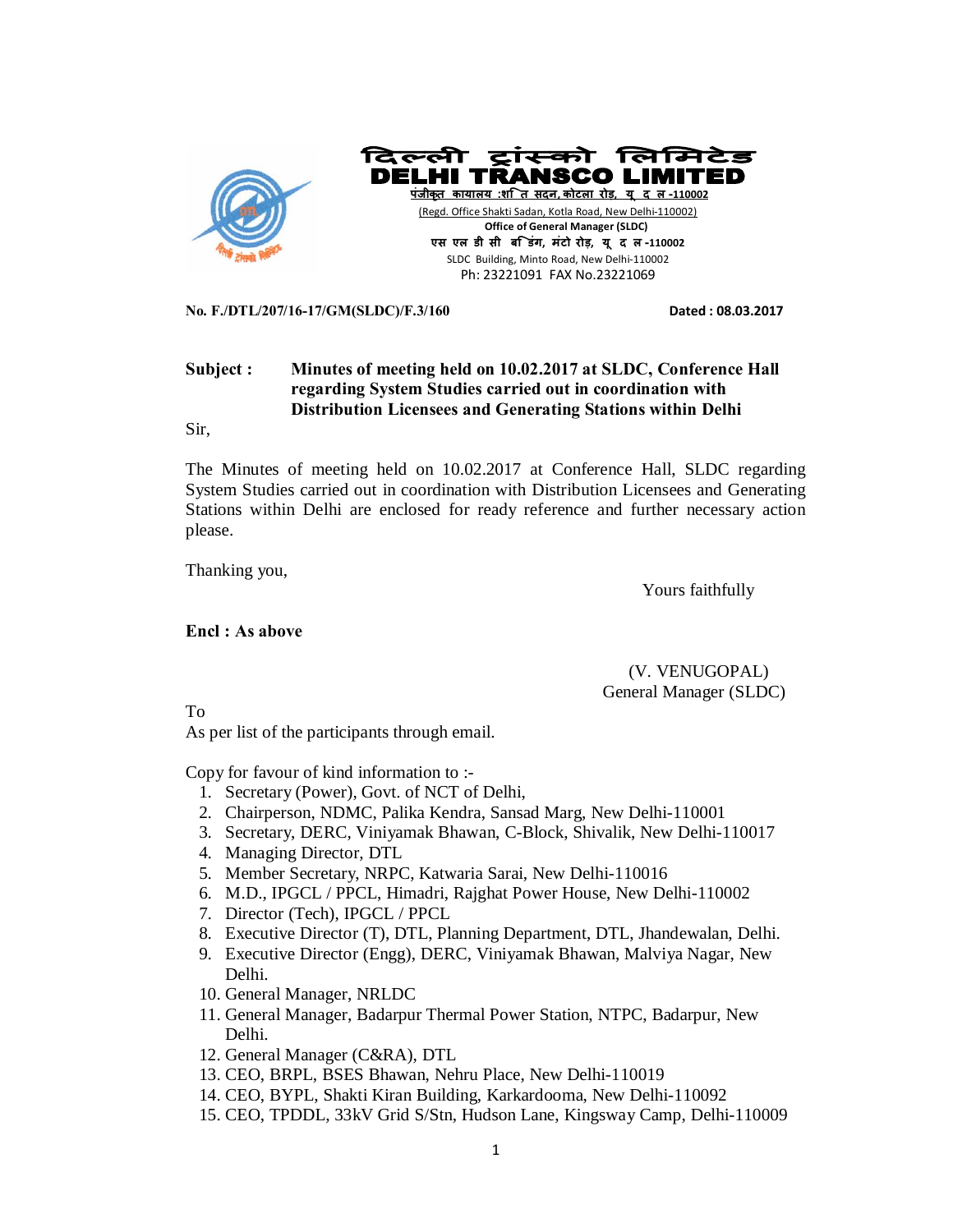

**No. F./DTL/207/16-17/GM(SLDC)/F.3/160 Dated : 08.03.2017** 

## **Subject : Minutes of meeting held on 10.02.2017 at SLDC, Conference Hall regarding System Studies carried out in coordination with Distribution Licensees and Generating Stations within Delhi**

Sir,

The Minutes of meeting held on 10.02.2017 at Conference Hall, SLDC regarding System Studies carried out in coordination with Distribution Licensees and Generating Stations within Delhi are enclosed for ready reference and further necessary action please.

Thanking you,

Yours faithfully

#### **Encl : As above**

 (V. VENUGOPAL) General Manager (SLDC)

To

As per list of the participants through email.

Copy for favour of kind information to :-

- 1. Secretary (Power), Govt. of NCT of Delhi,
- 2. Chairperson, NDMC, Palika Kendra, Sansad Marg, New Delhi-110001
- 3. Secretary, DERC, Viniyamak Bhawan, C-Block, Shivalik, New Delhi-110017
- 4. Managing Director, DTL
- 5. Member Secretary, NRPC, Katwaria Sarai, New Delhi-110016
- 6. M.D., IPGCL / PPCL, Himadri, Rajghat Power House, New Delhi-110002
- 7. Director (Tech), IPGCL / PPCL
- 8. Executive Director (T), DTL, Planning Department, DTL, Jhandewalan, Delhi.
- 9. Executive Director (Engg), DERC, Viniyamak Bhawan, Malviya Nagar, New Delhi.
- 10. General Manager, NRLDC
- 11. General Manager, Badarpur Thermal Power Station, NTPC, Badarpur, New Delhi.
- 12. General Manager (C&RA), DTL
- 13. CEO, BRPL, BSES Bhawan, Nehru Place, New Delhi-110019
- 14. CEO, BYPL, Shakti Kiran Building, Karkardooma, New Delhi-110092
- 15. CEO, TPDDL, 33kV Grid S/Stn, Hudson Lane, Kingsway Camp, Delhi-110009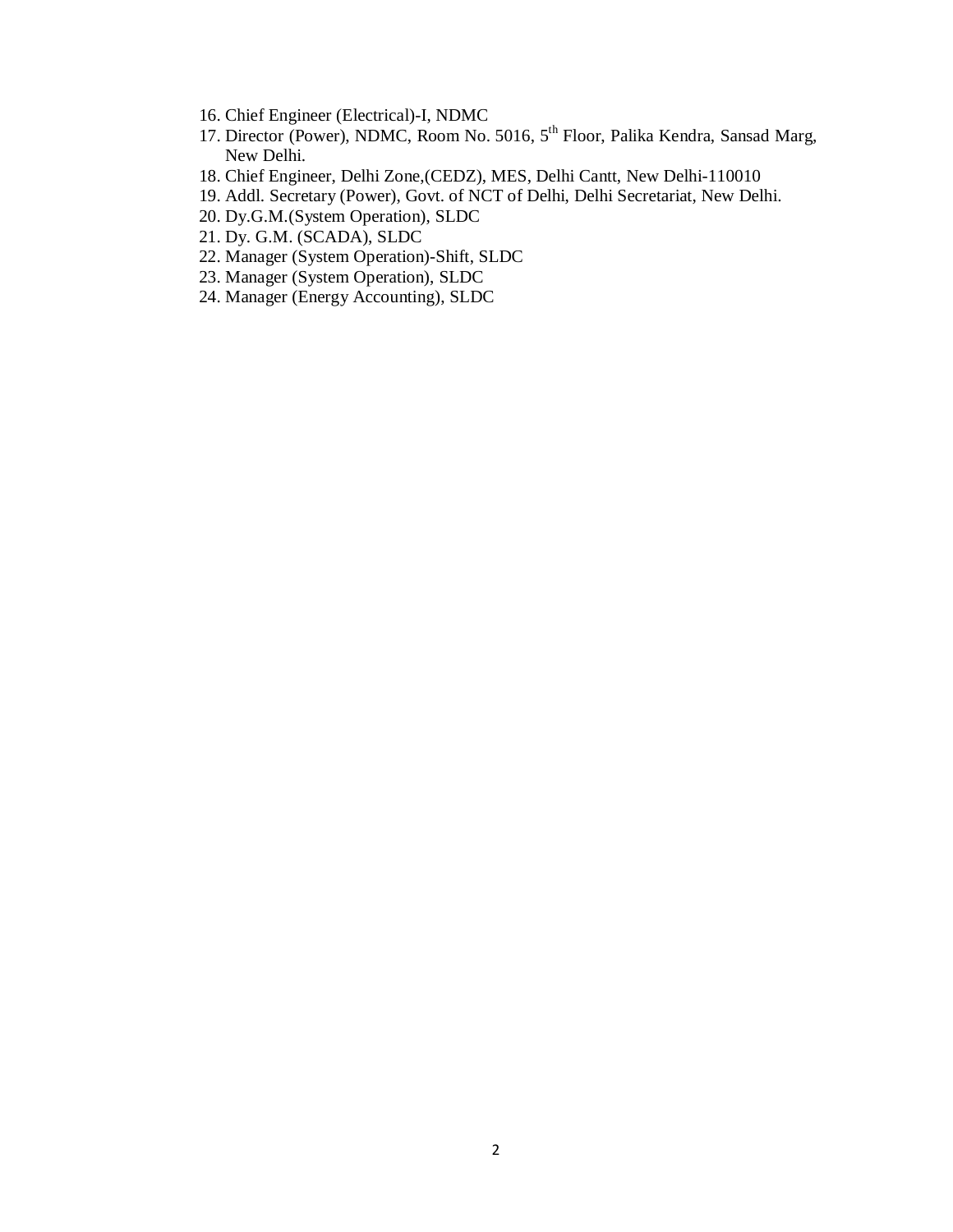- 16. Chief Engineer (Electrical)-I, NDMC
- 17. Director (Power), NDMC, Room No. 5016, 5th Floor, Palika Kendra, Sansad Marg, New Delhi.
- 18. Chief Engineer, Delhi Zone,(CEDZ), MES, Delhi Cantt, New Delhi-110010
- 19. Addl. Secretary (Power), Govt. of NCT of Delhi, Delhi Secretariat, New Delhi.
- 20. Dy.G.M.(System Operation), SLDC
- 21. Dy. G.M. (SCADA), SLDC
- 22. Manager (System Operation)-Shift, SLDC
- 23. Manager (System Operation), SLDC
- 24. Manager (Energy Accounting), SLDC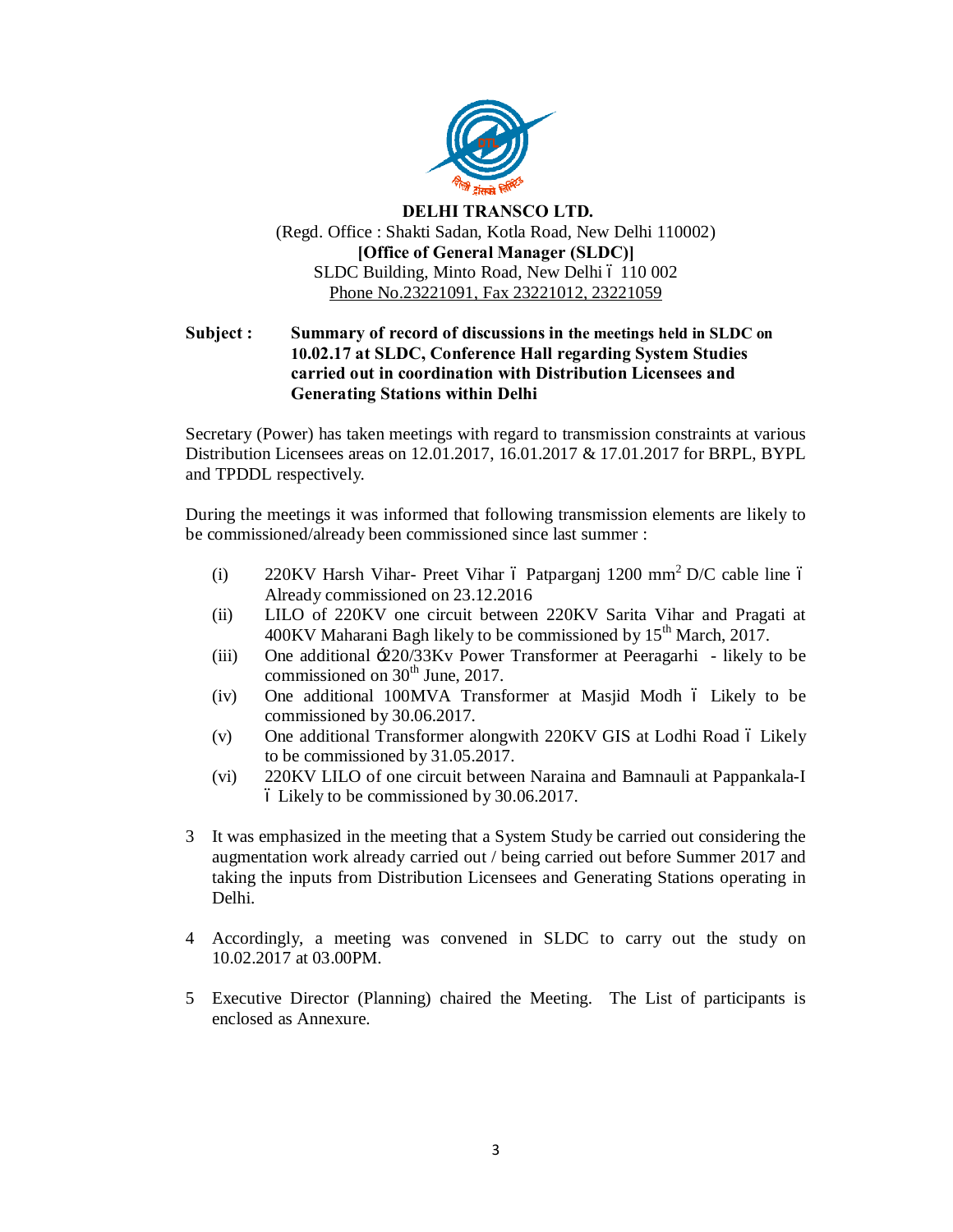

### **DELHI TRANSCO LTD.** (Regd. Office : Shakti Sadan, Kotla Road, New Delhi 110002) **[Office of General Manager (SLDC)]** SLDC Building, Minto Road, New Delhi ó 110 002 Phone No.23221091, Fax 23221012, 23221059

### **Subject : Summary of record of discussions in the meetings held in SLDC on 10.02.17 at SLDC, Conference Hall regarding System Studies carried out in coordination with Distribution Licensees and Generating Stations within Delhi**

Secretary (Power) has taken meetings with regard to transmission constraints at various Distribution Licensees areas on 12.01.2017, 16.01.2017 & 17.01.2017 for BRPL, BYPL and TPDDL respectively.

During the meetings it was informed that following transmission elements are likely to be commissioned/already been commissioned since last summer :

- (i) 220KV Harsh Vihar- Preet Vihar 6 Patparganj 1200 mm<sup>2</sup> D/C cable line 6 Already commissioned on 23.12.2016
- (ii) LILO of 220KV one circuit between 220KV Sarita Vihar and Pragati at  $400$ KV Maharani Bagh likely to be commissioned by  $15<sup>th</sup>$  March, 2017.
- (iii) One additional '220/33Kv Power Transformer at Peeragarhi likely to be commissioned on 30<sup>th</sup> June, 2017.
- $(iv)$  One additional 100MVA Transformer at Masjid Modh  $\acute{o}$  Likely to be commissioned by 30.06.2017.
- (v) One additional Transformer alongwith 220KV GIS at Lodhi Road 6 Likely to be commissioned by 31.05.2017.
- (vi) 220KV LILO of one circuit between Naraina and Bamnauli at Pappankala-I – Likely to be commissioned by 30.06.2017.
- 3 It was emphasized in the meeting that a System Study be carried out considering the augmentation work already carried out / being carried out before Summer 2017 and taking the inputs from Distribution Licensees and Generating Stations operating in Delhi.
- 4 Accordingly, a meeting was convened in SLDC to carry out the study on 10.02.2017 at 03.00PM.
- 5 Executive Director (Planning) chaired the Meeting. The List of participants is enclosed as Annexure.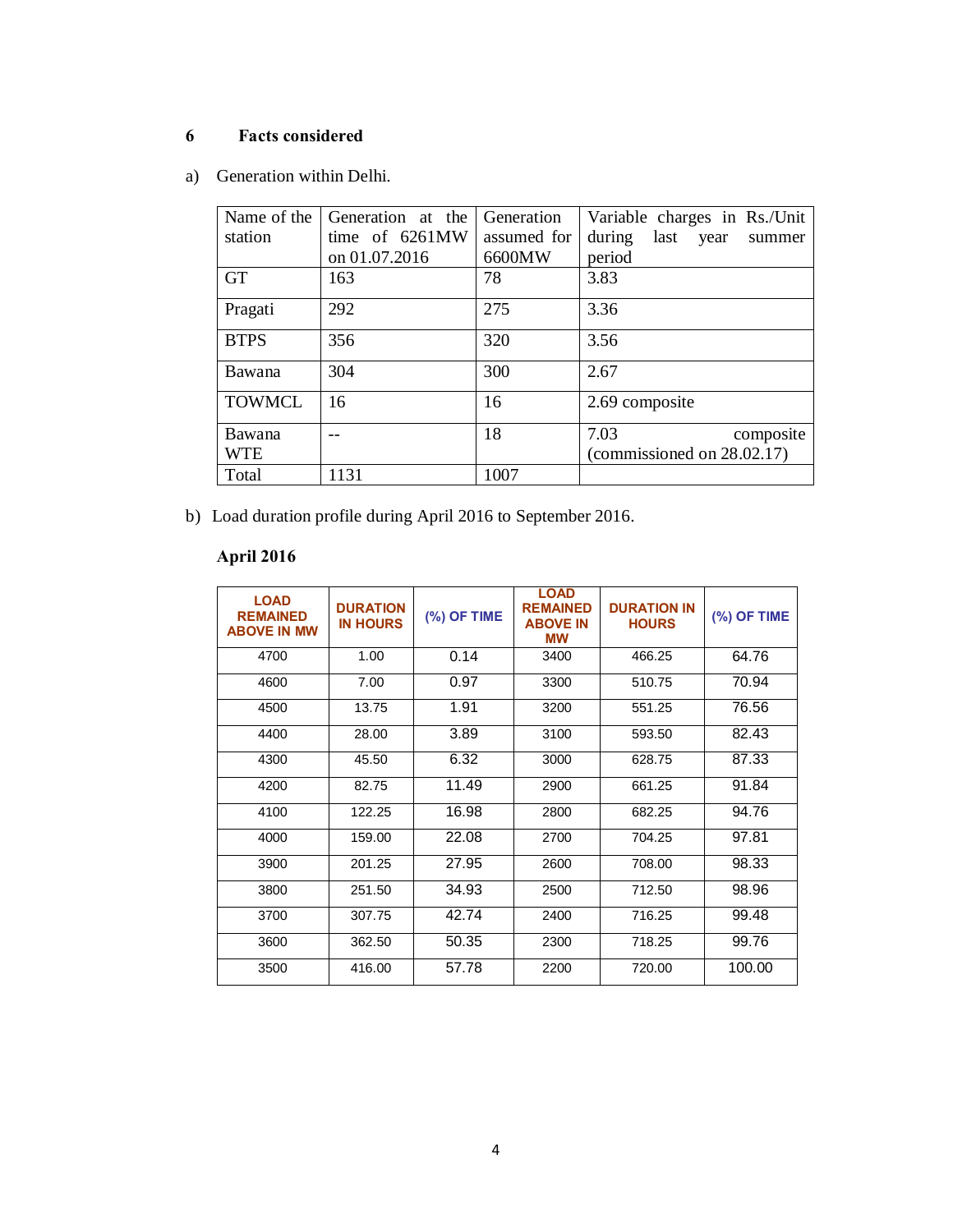# **6 Facts considered**

a) Generation within Delhi.

| Name of the 1 | Generation at the | Generation  | Variable charges in Rs./Unit     |
|---------------|-------------------|-------------|----------------------------------|
| station       | time of 6261MW    | assumed for | during<br>last<br>year<br>summer |
|               | on 01.07.2016     | 6600MW      | period                           |
| <b>GT</b>     | 163               | 78          | 3.83                             |
| Pragati       | 292               | 275         | 3.36                             |
| <b>BTPS</b>   | 356               | 320         | 3.56                             |
| Bawana        | 304               | 300         | 2.67                             |
| <b>TOWMCL</b> | 16                | 16          | 2.69 composite                   |
| Bawana        |                   | 18          | 7.03<br>composite                |
| <b>WTE</b>    |                   |             | (commissioned on 28.02.17)       |
| Total         | 1131              | 1007        |                                  |

b) Load duration profile during April 2016 to September 2016.

# **April 2016**

| <b>LOAD</b><br><b>REMAINED</b><br><b>ABOVE IN MW</b> | <b>DURATION</b><br><b>IN HOURS</b> | (%) OF TIME | <b>LOAD</b><br><b>REMAINED</b><br><b>ABOVE IN</b><br><b>MW</b> | <b>DURATION IN</b><br><b>HOURS</b> | $(%)$ OF TIME |
|------------------------------------------------------|------------------------------------|-------------|----------------------------------------------------------------|------------------------------------|---------------|
| 4700                                                 | 1.00                               | 0.14        | 3400                                                           | 466.25                             | 64.76         |
| 4600                                                 | 7.00                               | 0.97        | 3300                                                           | 510.75                             | 70.94         |
| 4500                                                 | 13.75                              | 1.91        | 3200                                                           | 551.25                             | 76.56         |
| 4400                                                 | 28.00                              | 3.89        | 3100                                                           | 593.50                             | 82.43         |
| 4300                                                 | 45.50                              | 6.32        | 3000                                                           | 628.75                             | 87.33         |
| 4200                                                 | 82.75                              | 11.49       | 2900                                                           | 661.25                             | 91.84         |
| 4100                                                 | 122.25                             | 16.98       | 2800                                                           | 682.25                             | 94.76         |
| 4000                                                 | 159.00                             | 22.08       | 2700                                                           | 704.25                             | 97.81         |
| 3900                                                 | 201.25                             | 27.95       | 2600                                                           | 708.00                             | 98.33         |
| 3800                                                 | 251.50                             | 34.93       | 2500                                                           | 712.50                             | 98.96         |
| 3700                                                 | 307.75                             | 42.74       | 2400                                                           | 716.25                             | 99.48         |
| 3600                                                 | 362.50                             | 50.35       | 2300                                                           | 718.25                             | 99.76         |
| 3500                                                 | 416.00                             | 57.78       | 2200                                                           | 720.00                             | 100.00        |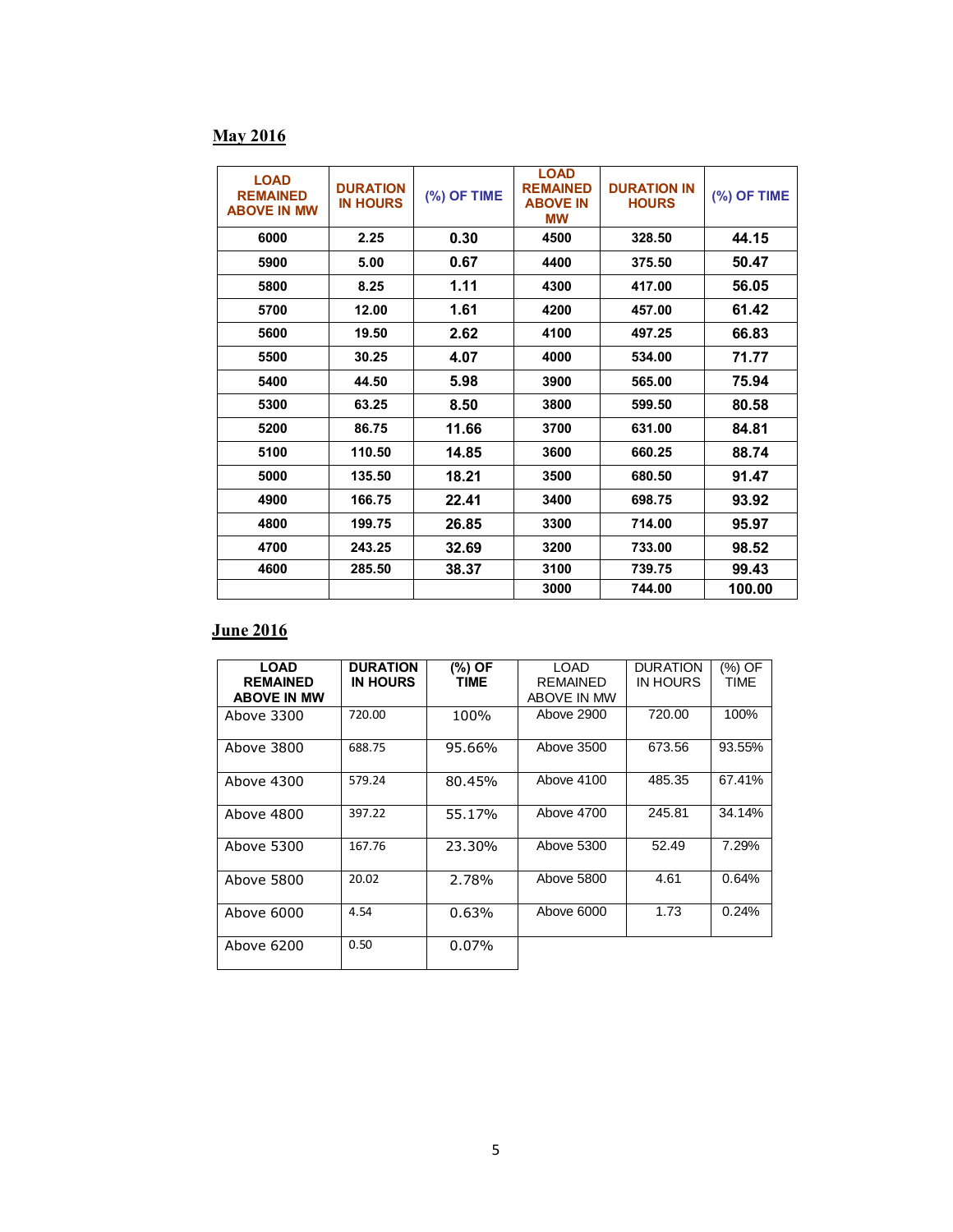# **May 2016**

| <b>LOAD</b><br><b>REMAINED</b><br><b>ABOVE IN MW</b> | <b>DURATION</b><br><b>IN HOURS</b> | (%) OF TIME | <b>LOAD</b><br><b>REMAINED</b><br><b>ABOVE IN</b><br><b>MW</b> | <b>DURATION IN</b><br><b>HOURS</b> | (%) OF TIME |
|------------------------------------------------------|------------------------------------|-------------|----------------------------------------------------------------|------------------------------------|-------------|
| 6000                                                 | 2.25                               | 0.30        | 4500                                                           | 328.50                             | 44.15       |
| 5900                                                 | 5.00                               | 0.67        | 4400                                                           | 375.50                             | 50.47       |
| 5800                                                 | 8.25                               | 1.11        | 4300                                                           | 417.00                             | 56.05       |
| 5700                                                 | 12.00                              | 1.61        | 4200                                                           | 457.00                             | 61.42       |
| 5600                                                 | 19.50                              | 2.62        | 4100                                                           | 497.25                             | 66.83       |
| 5500                                                 | 30.25                              | 4.07        | 4000                                                           | 534.00                             | 71.77       |
| 5400                                                 | 44.50                              | 5.98        | 3900                                                           | 565.00                             | 75.94       |
| 5300                                                 | 63.25                              | 8.50        | 3800                                                           | 599.50                             | 80.58       |
| 5200                                                 | 86.75                              | 11.66       | 3700                                                           | 631.00                             | 84.81       |
| 5100                                                 | 110.50                             | 14.85       | 3600                                                           | 660.25                             | 88.74       |
| 5000                                                 | 135.50                             | 18.21       | 3500                                                           | 680.50                             | 91.47       |
| 4900                                                 | 166.75                             | 22.41       | 3400                                                           | 698.75                             | 93.92       |
| 4800                                                 | 199.75                             | 26.85       | 3300                                                           | 714.00                             | 95.97       |
| 4700                                                 | 243.25                             | 32.69       | 3200                                                           | 733.00                             | 98.52       |
| 4600                                                 | 285.50                             | 38.37       | 3100                                                           | 739.75                             | 99.43       |
|                                                      |                                    |             | 3000                                                           | 744.00                             | 100.00      |

# **June 2016**

| <b>LOAD</b><br><b>REMAINED</b><br><b>ABOVE IN MW</b> | <b>DURATION</b><br><b>IN HOURS</b> | $(\%)$ OF<br>TIME | LOAD<br><b>REMAINED</b><br>ABOVE IN MW | <b>DURATION</b><br>IN HOURS | (%) OF<br>TIME |
|------------------------------------------------------|------------------------------------|-------------------|----------------------------------------|-----------------------------|----------------|
| Above 3300                                           | 720.00                             | 100%              | Above 2900                             | 720.00                      | 100%           |
| Above 3800                                           | 688.75                             | 95.66%            | Above 3500                             | 673.56                      | 93.55%         |
| Above 4300                                           | 579.24                             | 80.45%            | Above 4100                             | 485.35                      | 67.41%         |
| Above 4800                                           | 397.22                             | 55.17%            | Above 4700                             | 245.81                      | 34.14%         |
| Above 5300                                           | 167.76                             | 23.30%            | Above 5300                             | 52.49                       | 7.29%          |
| Above 5800                                           | 20.02                              | 2.78%             | Above 5800                             | 4.61                        | 0.64%          |
| Above 6000                                           | 4.54                               | 0.63%             | Above 6000                             | 1.73                        | 0.24%          |
| Above 6200                                           | 0.50                               | $0.07\%$          |                                        |                             |                |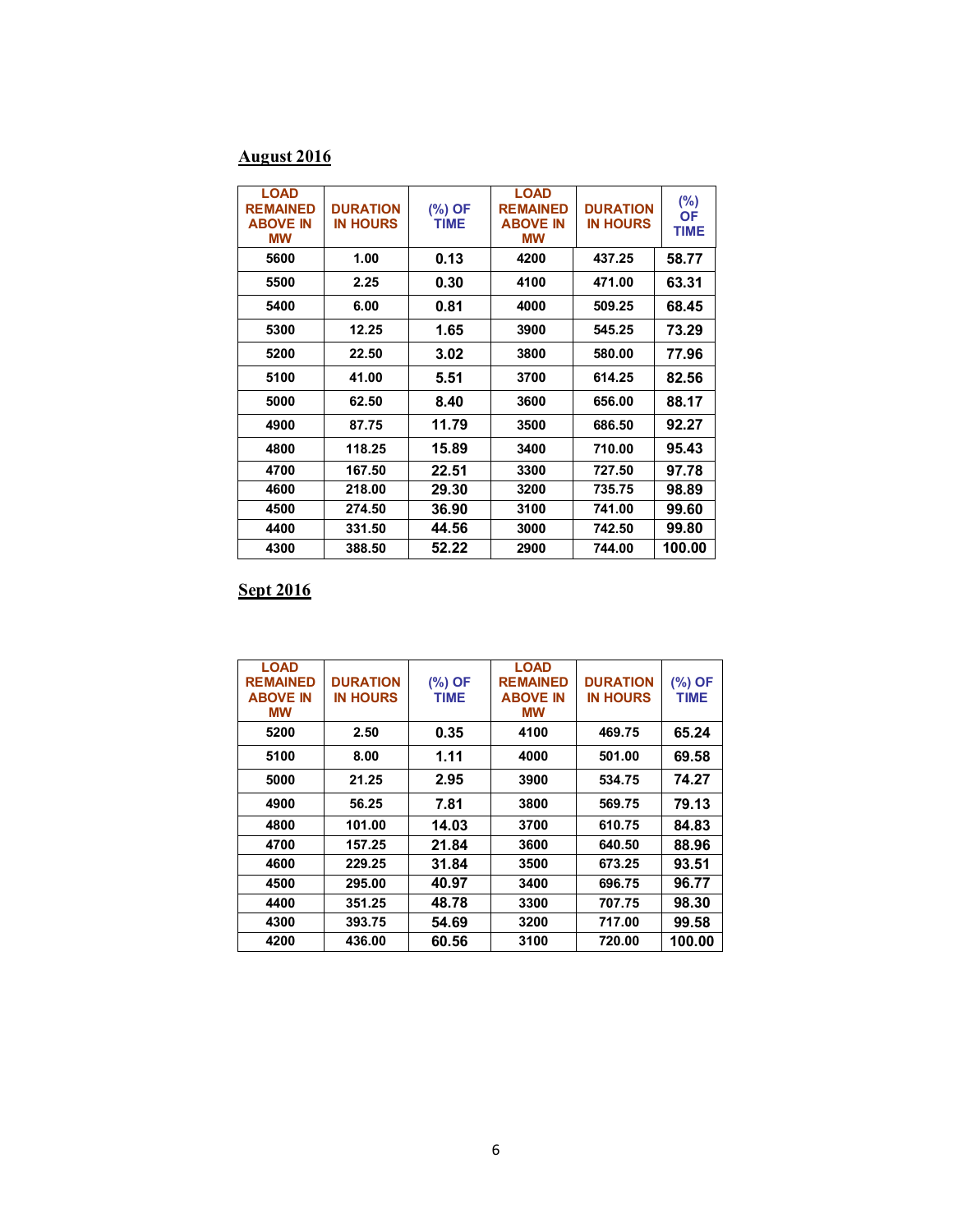# **August 2016**

| <b>LOAD</b><br><b>REMAINED</b><br><b>ABOVE IN</b><br>МW | <b>DURATION</b><br><b>IN HOURS</b> | (%) OF<br><b>TIME</b> | <b>LOAD</b><br><b>REMAINED</b><br><b>ABOVE IN</b><br>МW | <b>DURATION</b><br><b>IN HOURS</b> | $(\%)$<br><b>OF</b><br><b>TIME</b> |
|---------------------------------------------------------|------------------------------------|-----------------------|---------------------------------------------------------|------------------------------------|------------------------------------|
| 5600                                                    | 1.00                               | 0.13                  | 4200                                                    | 437.25                             | 58.77                              |
| 5500                                                    | 2.25                               | 0.30                  | 4100                                                    | 471.00                             | 63.31                              |
| 5400                                                    | 6.00                               | 0.81                  | 4000                                                    | 509.25                             | 68.45                              |
| 5300                                                    | 12.25                              | 1.65                  | 3900                                                    | 545.25                             | 73.29                              |
| 5200                                                    | 22.50                              | 3.02                  | 3800                                                    | 580.00                             | 77.96                              |
| 5100                                                    | 41.00                              | 5.51                  | 3700                                                    | 614.25                             | 82.56                              |
| 5000                                                    | 62.50                              | 8.40                  | 3600                                                    | 656.00                             | 88.17                              |
| 4900                                                    | 87.75                              | 11.79                 | 3500                                                    | 686.50                             | 92.27                              |
| 4800                                                    | 118.25                             | 15.89                 | 3400                                                    | 710.00                             | 95.43                              |
| 4700                                                    | 167.50                             | 22.51                 | 3300                                                    | 727.50                             | 97.78                              |
| 4600                                                    | 218.00                             | 29.30                 | 3200                                                    | 735.75                             | 98.89                              |
| 4500                                                    | 274.50                             | 36.90                 | 3100                                                    | 741.00                             | 99.60                              |
| 4400                                                    | 331.50                             | 44.56                 | 3000                                                    | 742.50                             | 99.80                              |
| 4300                                                    | 388.50                             | 52.22                 | 2900                                                    | 744.00                             | 100.00                             |

# **Sept 2016**

| <b>LOAD</b><br><b>REMAINED</b><br><b>ABOVE IN</b><br>МW | <b>DURATION</b><br><b>IN HOURS</b> | (%) OF<br>TIME | <b>LOAD</b><br><b>REMAINED</b><br><b>ABOVE IN</b><br><b>MW</b> | <b>DURATION</b><br><b>IN HOURS</b> | (%) OF<br><b>TIME</b> |
|---------------------------------------------------------|------------------------------------|----------------|----------------------------------------------------------------|------------------------------------|-----------------------|
| 5200                                                    | 2.50                               | 0.35           | 4100                                                           | 469.75                             | 65.24                 |
| 5100                                                    | 8.00                               | 1.11           | 4000                                                           | 501.00                             | 69.58                 |
| 5000                                                    | 21.25                              | 2.95           | 3900                                                           | 534.75                             | 74.27                 |
| 4900                                                    | 56.25                              | 7.81           | 3800                                                           | 569.75                             | 79.13                 |
| 4800                                                    | 101.00                             | 14.03          | 3700                                                           | 610.75                             | 84.83                 |
| 4700                                                    | 157.25                             | 21.84          | 3600                                                           | 640.50                             | 88.96                 |
| 4600                                                    | 229.25                             | 31.84          | 3500                                                           | 673.25                             | 93.51                 |
| 4500                                                    | 295.00                             | 40.97          | 3400                                                           | 696.75                             | 96.77                 |
| 4400                                                    | 351.25                             | 48.78          | 3300                                                           | 707.75                             | 98.30                 |
| 4300                                                    | 393.75                             | 54.69          | 3200                                                           | 717.00                             | 99.58                 |
| 4200                                                    | 436.00                             | 60.56          | 3100                                                           | 720.00                             | 100.00                |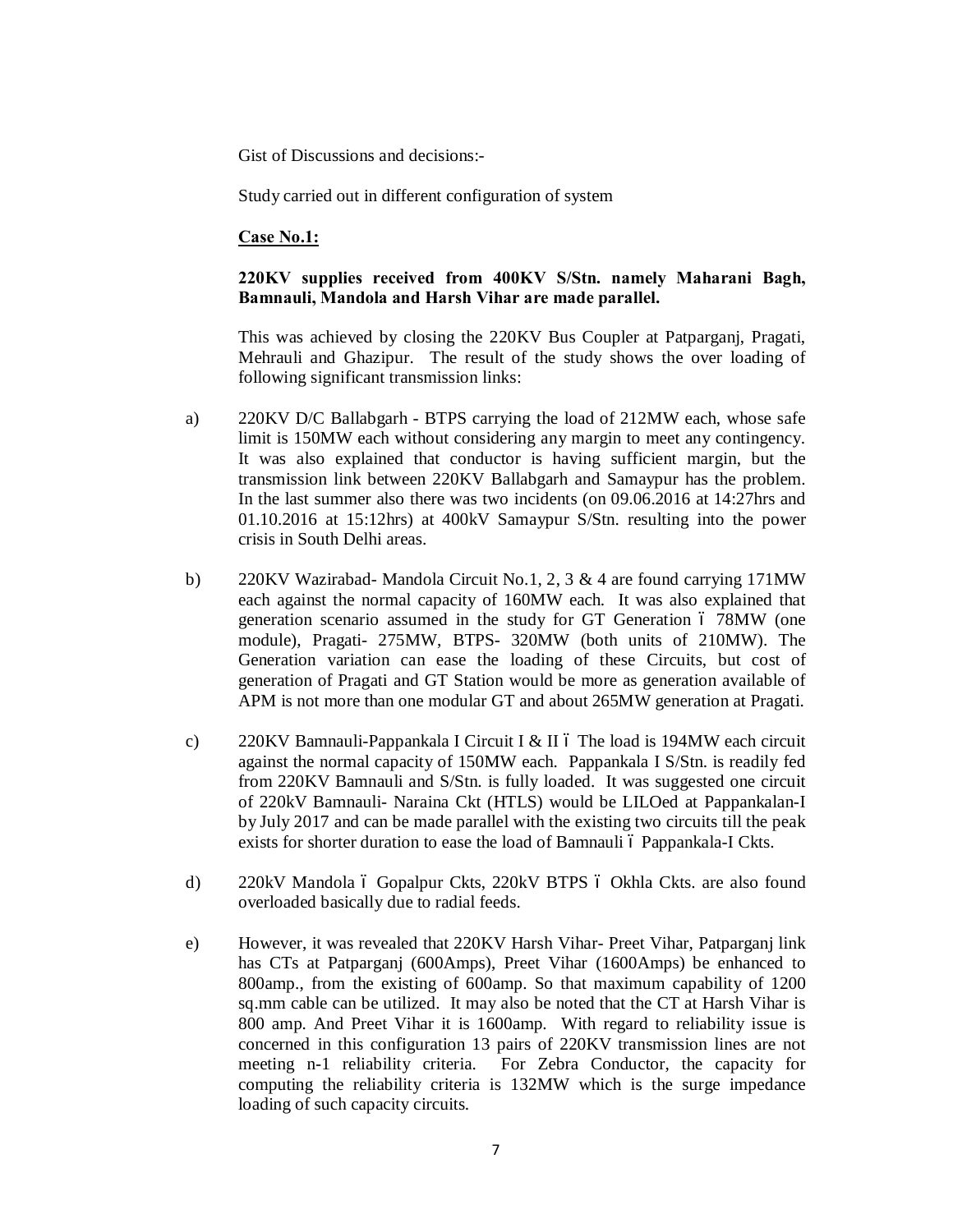Gist of Discussions and decisions:-

Study carried out in different configuration of system

#### **Case No.1:**

#### **220KV supplies received from 400KV S/Stn. namely Maharani Bagh, Bamnauli, Mandola and Harsh Vihar are made parallel.**

This was achieved by closing the 220KV Bus Coupler at Patparganj, Pragati, Mehrauli and Ghazipur. The result of the study shows the over loading of following significant transmission links:

- a) 220KV D/C Ballabgarh BTPS carrying the load of 212MW each, whose safe limit is 150MW each without considering any margin to meet any contingency. It was also explained that conductor is having sufficient margin, but the transmission link between 220KV Ballabgarh and Samaypur has the problem. In the last summer also there was two incidents (on 09.06.2016 at 14:27hrs and 01.10.2016 at 15:12hrs) at 400kV Samaypur S/Stn. resulting into the power crisis in South Delhi areas.
- b) 220KV Wazirabad- Mandola Circuit No.1, 2, 3 & 4 are found carrying 171MW each against the normal capacity of 160MW each. It was also explained that generation scenario assumed in the study for GT Generation 6 78MW (one module), Pragati- 275MW, BTPS- 320MW (both units of 210MW). The Generation variation can ease the loading of these Circuits, but cost of generation of Pragati and GT Station would be more as generation available of APM is not more than one modular GT and about 265MW generation at Pragati.
- c) 220KV Bamnauli-Pappankala I Circuit I & II 6 The load is 194MW each circuit against the normal capacity of 150MW each. Pappankala I S/Stn. is readily fed from 220KV Bamnauli and S/Stn. is fully loaded. It was suggested one circuit of 220kV Bamnauli- Naraina Ckt (HTLS) would be LILOed at Pappankalan-I by July 2017 and can be made parallel with the existing two circuits till the peak exists for shorter duration to ease the load of Bamnauli ó Pappankala-I Ckts.
- d) 220kV Mandola ó Gopalpur Ckts, 220kV BTPS ó Okhla Ckts. are also found overloaded basically due to radial feeds.
- e) However, it was revealed that 220KV Harsh Vihar- Preet Vihar, Patparganj link has CTs at Patparganj (600Amps), Preet Vihar (1600Amps) be enhanced to 800amp., from the existing of 600amp. So that maximum capability of 1200 sq.mm cable can be utilized. It may also be noted that the CT at Harsh Vihar is 800 amp. And Preet Vihar it is 1600amp. With regard to reliability issue is concerned in this configuration 13 pairs of 220KV transmission lines are not meeting n-1 reliability criteria. For Zebra Conductor, the capacity for computing the reliability criteria is 132MW which is the surge impedance loading of such capacity circuits.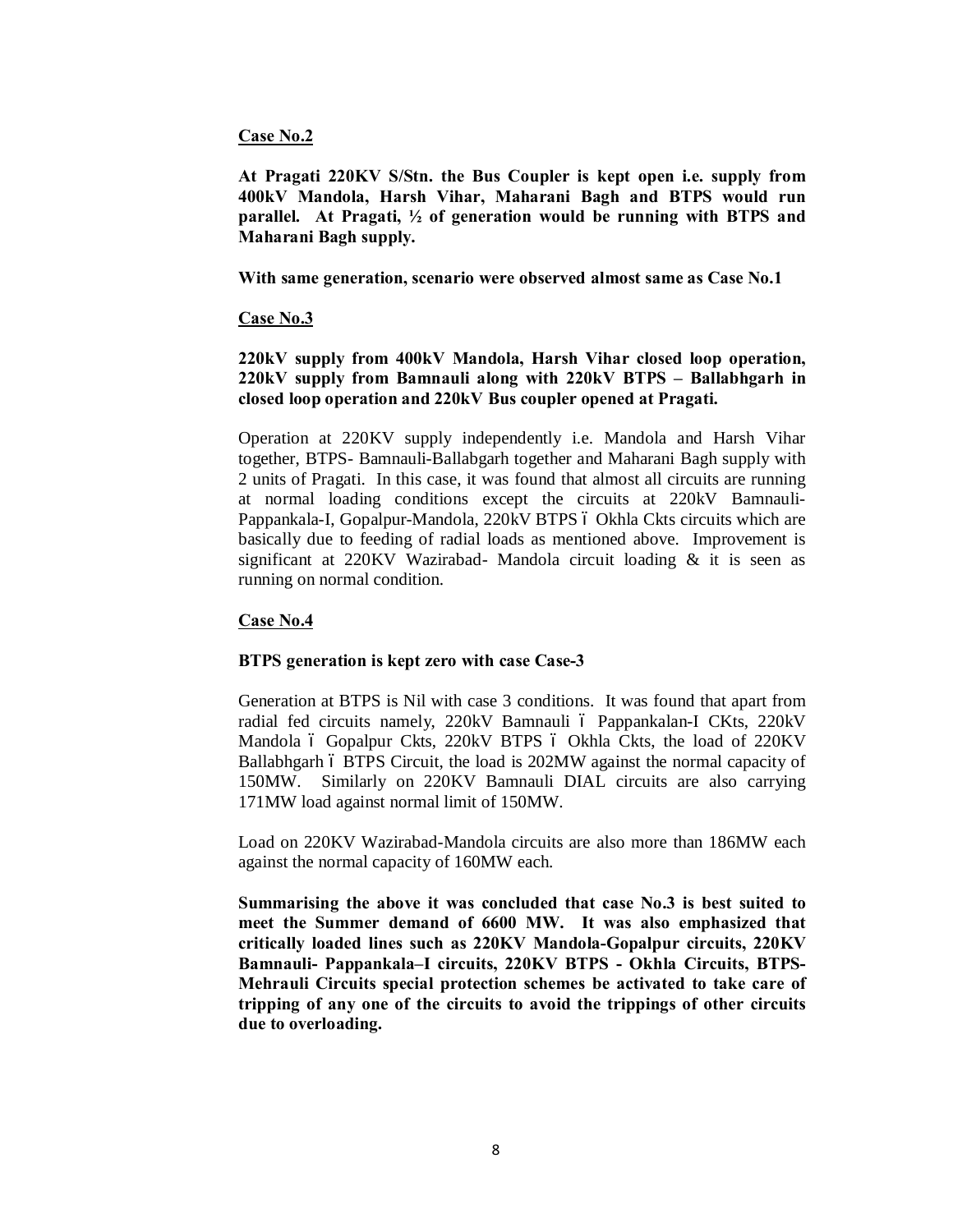#### **Case No.2**

**At Pragati 220KV S/Stn. the Bus Coupler is kept open i.e. supply from 400kV Mandola, Harsh Vihar, Maharani Bagh and BTPS would run parallel. At Pragati, ½ of generation would be running with BTPS and Maharani Bagh supply.**

**With same generation, scenario were observed almost same as Case No.1**

#### **Case No.3**

**220kV supply from 400kV Mandola, Harsh Vihar closed loop operation, 220kV supply from Bamnauli along with 220kV BTPS – Ballabhgarh in closed loop operation and 220kV Bus coupler opened at Pragati.**

Operation at 220KV supply independently i.e. Mandola and Harsh Vihar together, BTPS- Bamnauli-Ballabgarh together and Maharani Bagh supply with 2 units of Pragati. In this case, it was found that almost all circuits are running at normal loading conditions except the circuits at 220kV Bamnauli-Pappankala-I, Gopalpur-Mandola, 220kV BTPS 6 Okhla Ckts circuits which are basically due to feeding of radial loads as mentioned above. Improvement is significant at 220KV Wazirabad- Mandola circuit loading & it is seen as running on normal condition.

#### **Case No.4**

#### **BTPS generation is kept zero with case Case-3**

Generation at BTPS is Nil with case 3 conditions. It was found that apart from radial fed circuits namely, 220kV Bamnauli ó Pappankalan-I CKts, 220kV Mandola ó Gopalpur Ckts, 220kV BTPS ó Okhla Ckts, the load of 220KV Ballabhgarh ó BTPS Circuit, the load is 202MW against the normal capacity of 150MW. Similarly on 220KV Bamnauli DIAL circuits are also carrying 171MW load against normal limit of 150MW.

Load on 220KV Wazirabad-Mandola circuits are also more than 186MW each against the normal capacity of 160MW each.

**Summarising the above it was concluded that case No.3 is best suited to meet the Summer demand of 6600 MW. It was also emphasized that critically loaded lines such as 220KV Mandola-Gopalpur circuits, 220KV Bamnauli- Pappankala–I circuits, 220KV BTPS - Okhla Circuits, BTPS-Mehrauli Circuits special protection schemes be activated to take care of tripping of any one of the circuits to avoid the trippings of other circuits due to overloading.**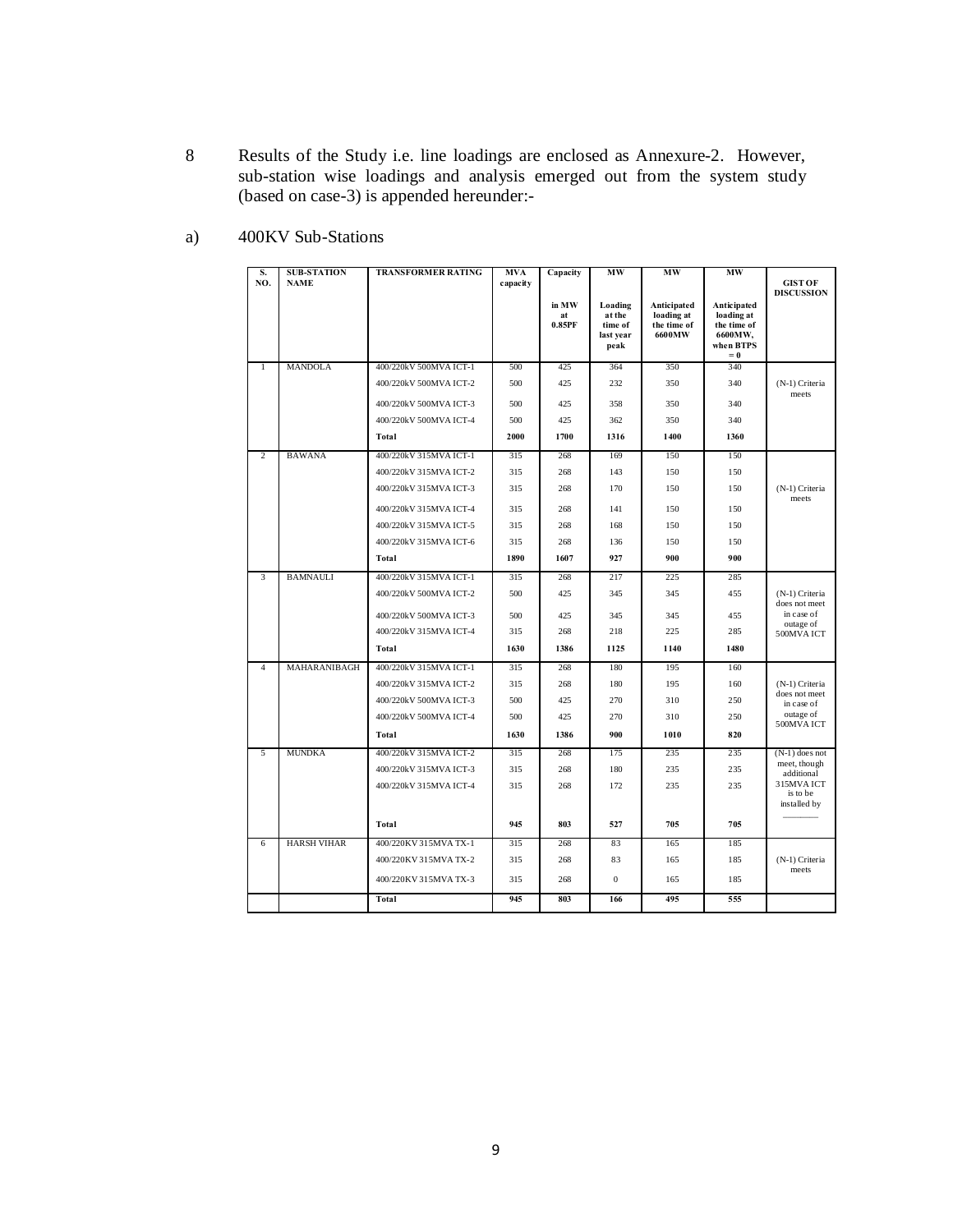8 Results of the Study i.e. line loadings are enclosed as Annexure-2. However, sub-station wise loadings and analysis emerged out from the system study (based on case-3) is appended hereunder:-

| S.<br>NO.      | <b>SUB-STATION</b><br><b>NAME</b> | <b>TRANSFORMER RATING</b> | <b>MVA</b><br>capacity | Capacity              | <b>MW</b>                                         | MW                                                 | MW                                                                        | <b>GIST OF</b><br><b>DISCUSSION</b> |
|----------------|-----------------------------------|---------------------------|------------------------|-----------------------|---------------------------------------------------|----------------------------------------------------|---------------------------------------------------------------------------|-------------------------------------|
|                |                                   |                           |                        | in MW<br>at<br>0.85PF | Loading<br>at the<br>time of<br>last year<br>peak | Anticipated<br>loading at<br>the time of<br>6600MW | Anticipated<br>loading at<br>the time of<br>6600MW,<br>when BTPS<br>$= 0$ |                                     |
| $\mathbf{1}$   | <b>MANDOLA</b>                    | 400/220kV 500MVA ICT-1    | 500                    | 425                   | 364                                               | 350                                                | 340                                                                       |                                     |
|                |                                   | 400/220kV 500MVA ICT-2    | 500                    | 425                   | 232                                               | 350                                                | 340                                                                       | (N-1) Criteria<br>meets             |
|                |                                   | 400/220kV 500MVA ICT-3    | 500                    | 425                   | 358                                               | 350                                                | 340                                                                       |                                     |
|                |                                   | 400/220kV 500MVA ICT-4    | 500                    | 425                   | 362                                               | 350                                                | 340                                                                       |                                     |
|                |                                   | Total                     | 2000                   | 1700                  | 1316                                              | 1400                                               | 1360                                                                      |                                     |
| $\overline{c}$ | <b>BAWANA</b>                     | 400/220kV 315MVA ICT-1    | 315                    | 268                   | 169                                               | 150                                                | 150                                                                       |                                     |
|                |                                   | 400/220kV 315MVA ICT-2    | 315                    | 268                   | 143                                               | 150                                                | 150                                                                       |                                     |
|                |                                   | 400/220kV 315MVA ICT-3    | 315                    | 268                   | 170                                               | 150                                                | 150                                                                       | (N-1) Criteria<br>meets             |
|                |                                   | 400/220kV 315MVA ICT-4    | 315                    | 268                   | 141                                               | 150                                                | 150                                                                       |                                     |
|                |                                   | 400/220kV 315MVA ICT-5    | 315                    | 268                   | 168                                               | 150                                                | 150                                                                       |                                     |
|                |                                   | 400/220kV 315MVA ICT-6    | 315                    | 268                   | 136                                               | 150                                                | 150                                                                       |                                     |
|                |                                   | Total                     | 1890                   | 1607                  | 927                                               | 900                                                | 900                                                                       |                                     |
| 3              | <b>BAMNAULI</b>                   | 400/220kV 315MVA ICT-1    | 315                    | 268                   | 217                                               | 225                                                | 285                                                                       |                                     |
|                |                                   | 400/220kV 500MVA ICT-2    | 500                    | 425                   | 345                                               | 345                                                | 455                                                                       | (N-1) Criteria<br>does not meet     |
|                |                                   | 400/220kV 500MVA ICT-3    | 500                    | 425                   | 345                                               | 345                                                | 455                                                                       | in case of                          |
|                |                                   | 400/220kV 315MVA ICT-4    | 315                    | 268                   | 218                                               | 225                                                | 285                                                                       | outage of<br>500MVAICT              |
|                |                                   | Total                     | 1630                   | 1386                  | 1125                                              | 1140                                               | 1480                                                                      |                                     |
| $\overline{4}$ | MAHARANIBAGH                      | 400/220kV 315MVA ICT-1    | 315                    | 268                   | 180                                               | 195                                                | 160                                                                       |                                     |
|                |                                   | 400/220kV 315MVA ICT-2    | 315                    | 268                   | 180                                               | 195                                                | 160                                                                       | (N-1) Criteria<br>does not meet     |
|                |                                   | 400/220kV 500MVA ICT-3    | 500                    | 425                   | 270                                               | 310                                                | 250                                                                       | in case of                          |
|                |                                   | 400/220kV 500MVA ICT-4    | 500                    | 425                   | 270                                               | 310                                                | 250                                                                       | outage of<br>500MVAICT              |
|                |                                   | Total                     | 1630                   | 1386                  | 900                                               | 1010                                               | 820                                                                       |                                     |
| 5              | <b>MUNDKA</b>                     | 400/220kV 315MVA ICT-2    | 315                    | 268                   | 175                                               | 235                                                | 235                                                                       | $(N-1)$ does not<br>meet, though    |
|                |                                   | 400/220kV 315MVA ICT-3    | 315                    | 268                   | 180                                               | 235                                                | 235                                                                       | additional<br>315MVAICT             |
|                |                                   | 400/220kV 315MVA ICT-4    | 315                    | 268                   | 172                                               | 235                                                | 235                                                                       | is to be<br>installed by            |
|                |                                   | Total                     | 945                    | 803                   | 527                                               | 705                                                | 705                                                                       |                                     |
| 6              | <b>HARSH VIHAR</b>                | 400/220KV 315MVA TX-1     | 315                    | 268                   | 83                                                | 165                                                | 185                                                                       |                                     |
|                |                                   | 400/220KV 315MVA TX-2     | 315                    | 268                   | 83                                                | 165                                                | 185                                                                       | (N-1) Criteria<br>meets             |
|                |                                   | 400/220KV 315MVA TX-3     | 315                    | 268                   | $\mathbf{0}$                                      | 165                                                | 185                                                                       |                                     |
|                |                                   | Total                     | 945                    | 803                   | 166                                               | 495                                                | 555                                                                       |                                     |

a) 400KV Sub-Stations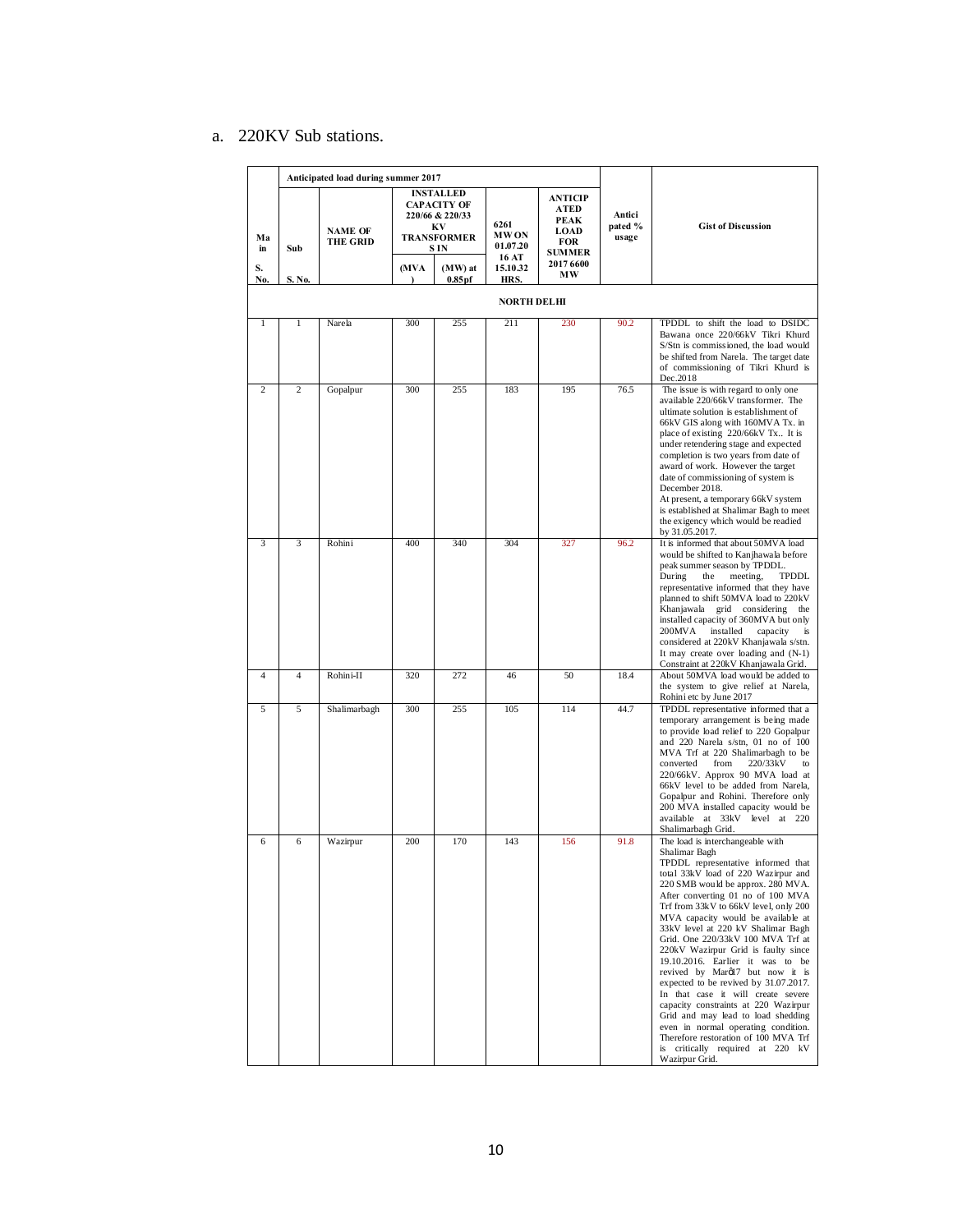## a. 220KV Sub stations.

|                | Anticipated load during summer 2017 |                                   |                   |                                                                                                     |                                          |                                                                              |                            |                                                                                                                                                                                                                                                                                                                                                                                                                                                                                                                                                                                                                                                                                                                                                                                    |
|----------------|-------------------------------------|-----------------------------------|-------------------|-----------------------------------------------------------------------------------------------------|------------------------------------------|------------------------------------------------------------------------------|----------------------------|------------------------------------------------------------------------------------------------------------------------------------------------------------------------------------------------------------------------------------------------------------------------------------------------------------------------------------------------------------------------------------------------------------------------------------------------------------------------------------------------------------------------------------------------------------------------------------------------------------------------------------------------------------------------------------------------------------------------------------------------------------------------------------|
| Ma<br>in       | Sub                                 | <b>NAME OF</b><br><b>THE GRID</b> |                   | <b>INSTALLED</b><br><b>CAPACITY OF</b><br>220/66 & 220/33<br>KV<br><b>TRANSFORMER</b><br><b>SIN</b> | 6261<br><b>MWON</b><br>01.07.20<br>16 AT | <b>ANTICIP</b><br>ATED<br><b>PEAK</b><br><b>LOAD</b><br>FOR<br><b>SUMMER</b> | Antici<br>pated %<br>usage | <b>Gist of Discussion</b>                                                                                                                                                                                                                                                                                                                                                                                                                                                                                                                                                                                                                                                                                                                                                          |
| S.<br>No.      | S. No.                              |                                   | (MVA<br>$\lambda$ | (MW) at<br>$0.85$ pf                                                                                | 15.10.32<br>HRS.                         | 2017 6600<br>МW                                                              |                            |                                                                                                                                                                                                                                                                                                                                                                                                                                                                                                                                                                                                                                                                                                                                                                                    |
|                |                                     |                                   |                   |                                                                                                     | <b>NORTH DELHI</b>                       |                                                                              |                            |                                                                                                                                                                                                                                                                                                                                                                                                                                                                                                                                                                                                                                                                                                                                                                                    |
| $\mathbf{1}$   | $\mathbf{1}$                        | Narela                            | 300               | 255                                                                                                 | 211                                      | 230                                                                          | 90.2                       | TPDDL to shift the load to DSIDC<br>Bawana once 220/66kV Tikri Khurd<br>S/Stn is commissioned, the load would<br>be shifted from Narela. The target date<br>of commissioning of Tikri Khurd is<br>Dec.2018                                                                                                                                                                                                                                                                                                                                                                                                                                                                                                                                                                         |
| $\overline{c}$ | $\overline{c}$                      | Gopalpur                          | 300               | 255                                                                                                 | 183                                      | 195                                                                          | 76.5                       | The issue is with regard to only one<br>available 220/66kV transformer. The<br>ultimate solution is establishment of<br>66kV GIS along with 160MVA Tx. in<br>place of existing 220/66kV Tx It is<br>under retendering stage and expected<br>completion is two years from date of<br>award of work. However the target<br>date of commissioning of system is<br>December 2018.<br>At present, a temporary 66kV system<br>is established at Shalimar Bagh to meet<br>the exigency which would be readied<br>by 31.05.2017.                                                                                                                                                                                                                                                           |
| 3              | 3                                   | Rohini                            | 400               | 340                                                                                                 | 304                                      | 327                                                                          | 96.2                       | It is informed that about 50MVA load<br>would be shifted to Kanjhawala before<br>peak summer season by TPDDL.<br>During<br>the<br>meeting,<br><b>TPDDL</b><br>representative informed that they have<br>planned to shift 50MVA load to 220kV<br>Khanjawala grid considering the<br>installed capacity of 360MVA but only<br>$200$ MVA<br>installed<br>capacity<br>is<br>considered at 220kV Khanjawala s/stn.<br>It may create over loading and (N-1)<br>Constraint at 220kV Khanjawala Grid.                                                                                                                                                                                                                                                                                      |
| $\overline{4}$ | $\overline{4}$                      | Rohini-II                         | 320               | 272                                                                                                 | 46                                       | 50                                                                           | 18.4                       | About 50MVA load would be added to<br>the system to give relief at Narela,<br>Rohini etc by June 2017                                                                                                                                                                                                                                                                                                                                                                                                                                                                                                                                                                                                                                                                              |
| 5              | 5                                   | Shalimarbagh                      | 300               | 255                                                                                                 | 105                                      | 114                                                                          | 44.7                       | TPDDL representative informed that a<br>temporary arrangement is being made<br>to provide load relief to 220 Gopalpur<br>and 220 Narela s/stn, 01 no of 100<br>MVA Trf at 220 Shalimarbagh to be<br>converted<br>from<br>220/33kV<br>to<br>220/66kV. Approx 90 MVA load at<br>66kV level to be added from Narela,<br>Gopalpur and Rohini. Therefore only<br>200 MVA installed capacity would be<br>available at 33kV level at 220<br>Shalimarbagh Grid.                                                                                                                                                                                                                                                                                                                            |
| 6              | 6                                   | Wazirpur                          | 200               | 170                                                                                                 | 143                                      | 156                                                                          | 91.8                       | The load is interchangeable with<br>Shalimar Bagh<br>TPDDL representative informed that<br>total 33kV load of 220 Wazirpur and<br>220 SMB would be approx. 280 MVA.<br>After converting 01 no of 100 MVA<br>Trf from 33kV to 66kV level, only 200<br>MVA capacity would be available at<br>33kV level at 220 kV Shalimar Bagh<br>Grid. One 220/33kV 100 MVA Trf at<br>220kV Wazirpur Grid is faulty since<br>19.10.2016. Earlier it was to be<br>revived by Marøl7 but now it is<br>expected to be revived by 31.07.2017.<br>In that case it will create severe<br>capacity constraints at 220 Wazirpur<br>Grid and may lead to load shedding<br>even in normal operating condition.<br>Therefore restoration of 100 MVA Trf<br>is critically required at 220 kV<br>Wazirpur Grid. |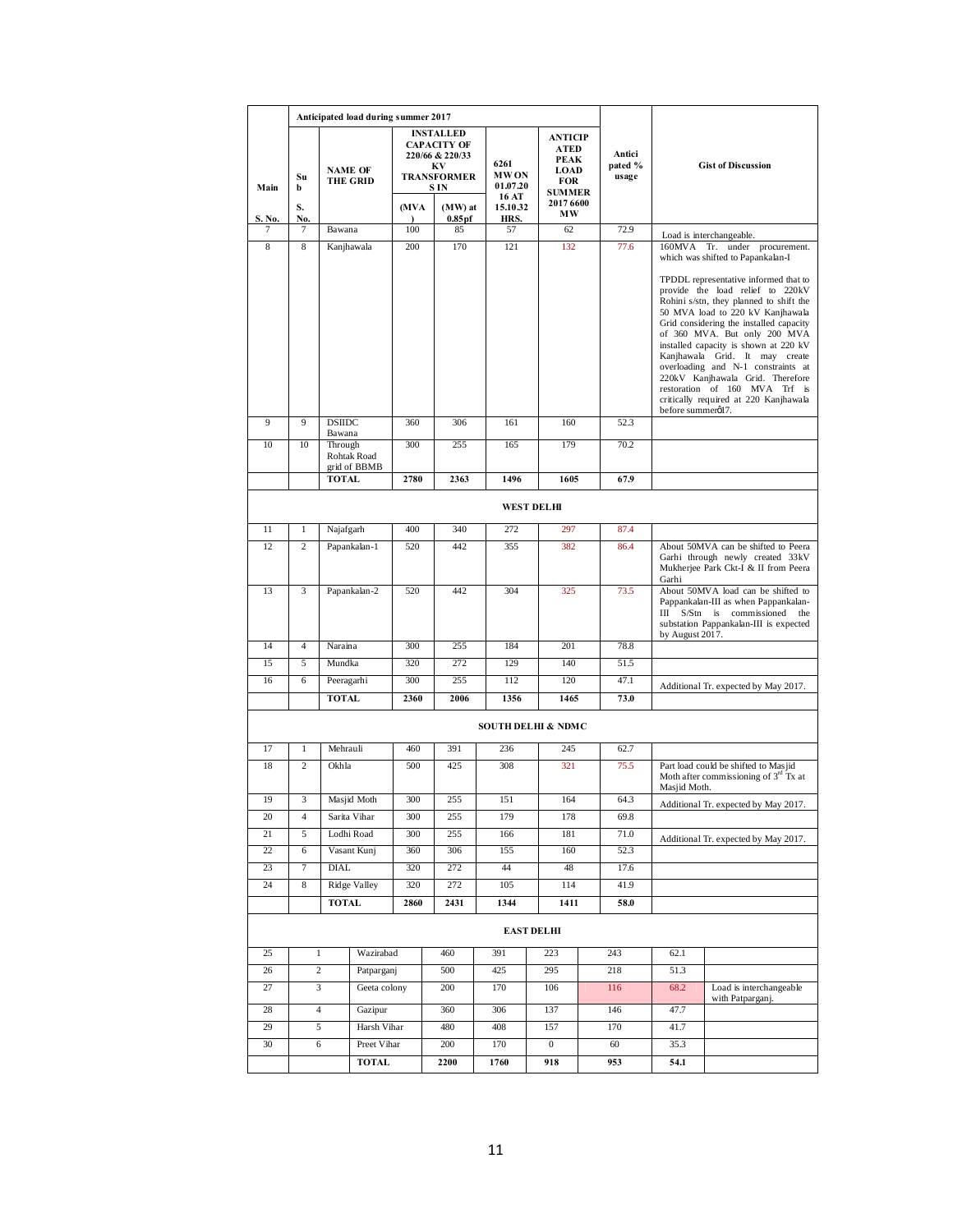|                   | Anticipated load during summer 2017 |                   |                                   |            |                                                                                                     |                                          |                                                                |  |                            |                                                                                                                                                                          |                                                                                                                                                                                                                                                                                                                                                                                                                                                                                                                                          |
|-------------------|-------------------------------------|-------------------|-----------------------------------|------------|-----------------------------------------------------------------------------------------------------|------------------------------------------|----------------------------------------------------------------|--|----------------------------|--------------------------------------------------------------------------------------------------------------------------------------------------------------------------|------------------------------------------------------------------------------------------------------------------------------------------------------------------------------------------------------------------------------------------------------------------------------------------------------------------------------------------------------------------------------------------------------------------------------------------------------------------------------------------------------------------------------------------|
| Main              | Su<br>b                             |                   | <b>NAME OF</b><br><b>THE GRID</b> |            | <b>INSTALLED</b><br><b>CAPACITY OF</b><br>220/66 & 220/33<br>KV<br><b>TRANSFORMER</b><br><b>SIN</b> | 6261<br><b>MWON</b><br>01.07.20<br>16 AT | ANTICIP<br>ATED<br>PEAK<br><b>LOAD</b><br>FOR<br><b>SUMMER</b> |  | Antici<br>pated %<br>usage |                                                                                                                                                                          | <b>Gist of Discussion</b>                                                                                                                                                                                                                                                                                                                                                                                                                                                                                                                |
| S. No.            | S.<br>No.                           |                   |                                   | (MVA       | (MW) at<br>0.85 <sub>pf</sub>                                                                       | 15.10.32<br>HRS.                         | 2017 6600<br>MW                                                |  |                            |                                                                                                                                                                          |                                                                                                                                                                                                                                                                                                                                                                                                                                                                                                                                          |
| 7                 | 7                                   | Bawana            |                                   | 100        | 85                                                                                                  | 57                                       | 62                                                             |  | 72.9                       |                                                                                                                                                                          | Load is interchangeable.                                                                                                                                                                                                                                                                                                                                                                                                                                                                                                                 |
| 8                 | 8                                   |                   | Kanjhawala                        | 200        | 170                                                                                                 | 121                                      | 132                                                            |  | 77.6                       |                                                                                                                                                                          | 160MVA Tr. under procurement.<br>which was shifted to Papankalan-I<br>TPDDL representative informed that to<br>provide the load relief to 220kV<br>Rohini s/stn, they planned to shift the<br>50 MVA load to 220 kV Kanjhawala<br>Grid considering the installed capacity<br>of 360 MVA. But only 200 MVA<br>installed capacity is shown at 220 kV<br>Kanjhawala Grid. It may create<br>overloading and N-1 constraints at<br>220kV Kanjhawala Grid. Therefore<br>restoration of 160 MVA Trf is<br>critically required at 220 Kanjhawala |
| 9                 | 9                                   | <b>DSIIDC</b>     |                                   | 360        | 306                                                                                                 | 161                                      | 160                                                            |  | 52.3                       | before summerøl7.                                                                                                                                                        |                                                                                                                                                                                                                                                                                                                                                                                                                                                                                                                                          |
| 10                | 10                                  | Bawana<br>Through | Rohtak Road<br>grid of BBMB       | 300        | 255                                                                                                 | 165                                      | 179                                                            |  | 70.2                       |                                                                                                                                                                          |                                                                                                                                                                                                                                                                                                                                                                                                                                                                                                                                          |
|                   |                                     | <b>TOTAL</b>      |                                   | 2780       | 2363                                                                                                | 1496                                     | 1605                                                           |  | 67.9                       |                                                                                                                                                                          |                                                                                                                                                                                                                                                                                                                                                                                                                                                                                                                                          |
| <b>WEST DELHI</b> |                                     |                   |                                   |            |                                                                                                     |                                          |                                                                |  |                            |                                                                                                                                                                          |                                                                                                                                                                                                                                                                                                                                                                                                                                                                                                                                          |
|                   |                                     |                   |                                   |            |                                                                                                     |                                          |                                                                |  |                            |                                                                                                                                                                          |                                                                                                                                                                                                                                                                                                                                                                                                                                                                                                                                          |
| 11<br>12          | $\mathbf{1}$<br>$\overline{2}$      | Najafgarh         |                                   | 400<br>520 | 340<br>442                                                                                          | 272<br>355                               | 297<br>382                                                     |  | 87.4<br>86.4               |                                                                                                                                                                          |                                                                                                                                                                                                                                                                                                                                                                                                                                                                                                                                          |
|                   |                                     |                   | Papankalan-1                      |            |                                                                                                     |                                          |                                                                |  |                            | About 50MVA can be shifted to Peera<br>Garhi through newly created 33kV<br>Mukherjee Park Ckt-I & II from Peera<br>Garhi                                                 |                                                                                                                                                                                                                                                                                                                                                                                                                                                                                                                                          |
| 13                | 3                                   |                   | Papankalan-2                      | 520        | 442                                                                                                 | 304                                      | 325                                                            |  | 73.5                       | About 50MVA load can be shifted to<br>Pappankalan-III as when Pappankalan-<br>III S/Stn is commissioned the<br>substation Pappankalan-III is expected<br>by August 2017. |                                                                                                                                                                                                                                                                                                                                                                                                                                                                                                                                          |
| 14                | $\overline{4}$                      | Naraina           |                                   | 300        | 255                                                                                                 | 184                                      | 201                                                            |  | 78.8                       |                                                                                                                                                                          |                                                                                                                                                                                                                                                                                                                                                                                                                                                                                                                                          |
| 15                | 5                                   | Mundka            |                                   | 320        | 272                                                                                                 | 129                                      | 140                                                            |  | 51.5                       |                                                                                                                                                                          |                                                                                                                                                                                                                                                                                                                                                                                                                                                                                                                                          |
| 16                | 6                                   | Peeragarhi        |                                   | 300        | 255                                                                                                 | 112                                      | 120                                                            |  | 47.1                       |                                                                                                                                                                          | Additional Tr. expected by May 2017.                                                                                                                                                                                                                                                                                                                                                                                                                                                                                                     |
|                   |                                     | TOTAL             |                                   | 2360       | 2006                                                                                                | 1356                                     | 1465                                                           |  | 73.0                       |                                                                                                                                                                          |                                                                                                                                                                                                                                                                                                                                                                                                                                                                                                                                          |
|                   |                                     |                   |                                   |            |                                                                                                     |                                          | <b>SOUTH DELHI &amp; NDMC</b>                                  |  |                            |                                                                                                                                                                          |                                                                                                                                                                                                                                                                                                                                                                                                                                                                                                                                          |
| 17                | $\mathbf{1}$                        | Mehrauli          |                                   | 460        | 391                                                                                                 | 236                                      | 245                                                            |  | 62.7                       |                                                                                                                                                                          |                                                                                                                                                                                                                                                                                                                                                                                                                                                                                                                                          |
| 18                | $\overline{c}$                      | Okhla             |                                   | 500        | 425                                                                                                 | 308                                      | 321                                                            |  | 75.5                       | Masjid Moth.                                                                                                                                                             | Part load could be shifted to Masjid<br>Moth after commissioning of $3rd$ Tx at                                                                                                                                                                                                                                                                                                                                                                                                                                                          |
| 19                | 3                                   |                   | Masjid Moth                       | 300        | 255                                                                                                 | 151                                      | 164                                                            |  | 64.3                       |                                                                                                                                                                          | Additional Tr. expected by May 2017.                                                                                                                                                                                                                                                                                                                                                                                                                                                                                                     |
| 20                | 4                                   |                   | Sarita Vihar                      | 300        | 255                                                                                                 | 179                                      | 178                                                            |  | 69.8                       |                                                                                                                                                                          |                                                                                                                                                                                                                                                                                                                                                                                                                                                                                                                                          |
| 21                | 5                                   |                   | Lodhi Road                        | 300        | 255                                                                                                 | 166                                      | 181                                                            |  | 71.0                       |                                                                                                                                                                          | Additional Tr. expected by May 2017.                                                                                                                                                                                                                                                                                                                                                                                                                                                                                                     |
| 22                | 6                                   |                   | Vasant Kunj                       | 360        | 306                                                                                                 | 155                                      | 160                                                            |  | 52.3                       |                                                                                                                                                                          |                                                                                                                                                                                                                                                                                                                                                                                                                                                                                                                                          |
| 23                | $\tau$                              | <b>DIAL</b>       |                                   | 320        | 272                                                                                                 | 44                                       | 48                                                             |  | 17.6                       |                                                                                                                                                                          |                                                                                                                                                                                                                                                                                                                                                                                                                                                                                                                                          |
| 24                | 8                                   |                   | Ridge Valley                      | 320        | 272                                                                                                 | 105                                      | 114                                                            |  | 41.9                       |                                                                                                                                                                          |                                                                                                                                                                                                                                                                                                                                                                                                                                                                                                                                          |
|                   |                                     | <b>TOTAL</b>      |                                   | 2860       | 2431                                                                                                | 1344                                     | 1411                                                           |  | 58.0                       |                                                                                                                                                                          |                                                                                                                                                                                                                                                                                                                                                                                                                                                                                                                                          |
|                   |                                     |                   |                                   |            |                                                                                                     |                                          | <b>EAST DELHI</b>                                              |  |                            |                                                                                                                                                                          |                                                                                                                                                                                                                                                                                                                                                                                                                                                                                                                                          |
| 25                | $\mathbf{1}$                        |                   | Wazirabad                         |            | 460                                                                                                 | 391                                      | 223                                                            |  | 243                        | 62.1                                                                                                                                                                     |                                                                                                                                                                                                                                                                                                                                                                                                                                                                                                                                          |
| 26                |                                     | 2                 | Patparganj                        |            | 500                                                                                                 | 425                                      | 295                                                            |  | 218                        | 51.3                                                                                                                                                                     |                                                                                                                                                                                                                                                                                                                                                                                                                                                                                                                                          |
| 27                |                                     | 3                 | Geeta colony                      |            | 200                                                                                                 | 170                                      | 106                                                            |  | 116                        | 68.2                                                                                                                                                                     | Load is interchangeable<br>with Patparganj.                                                                                                                                                                                                                                                                                                                                                                                                                                                                                              |
| 28                |                                     | 4                 | Gazipur                           |            | 360                                                                                                 | 306                                      | 137                                                            |  | 146                        | 47.7                                                                                                                                                                     |                                                                                                                                                                                                                                                                                                                                                                                                                                                                                                                                          |
| 29                |                                     | 5                 | Harsh Vihar                       |            | 480                                                                                                 | 408                                      | 157                                                            |  | 170                        | 41.7                                                                                                                                                                     |                                                                                                                                                                                                                                                                                                                                                                                                                                                                                                                                          |
| 30                |                                     | 6                 | Preet Vihar                       |            | 200                                                                                                 | 170                                      | $\overline{0}$                                                 |  | 60                         | 35.3                                                                                                                                                                     |                                                                                                                                                                                                                                                                                                                                                                                                                                                                                                                                          |
|                   |                                     |                   | <b>TOTAL</b>                      |            | 2200                                                                                                | 1760                                     | 918                                                            |  | 953                        | 54.1                                                                                                                                                                     |                                                                                                                                                                                                                                                                                                                                                                                                                                                                                                                                          |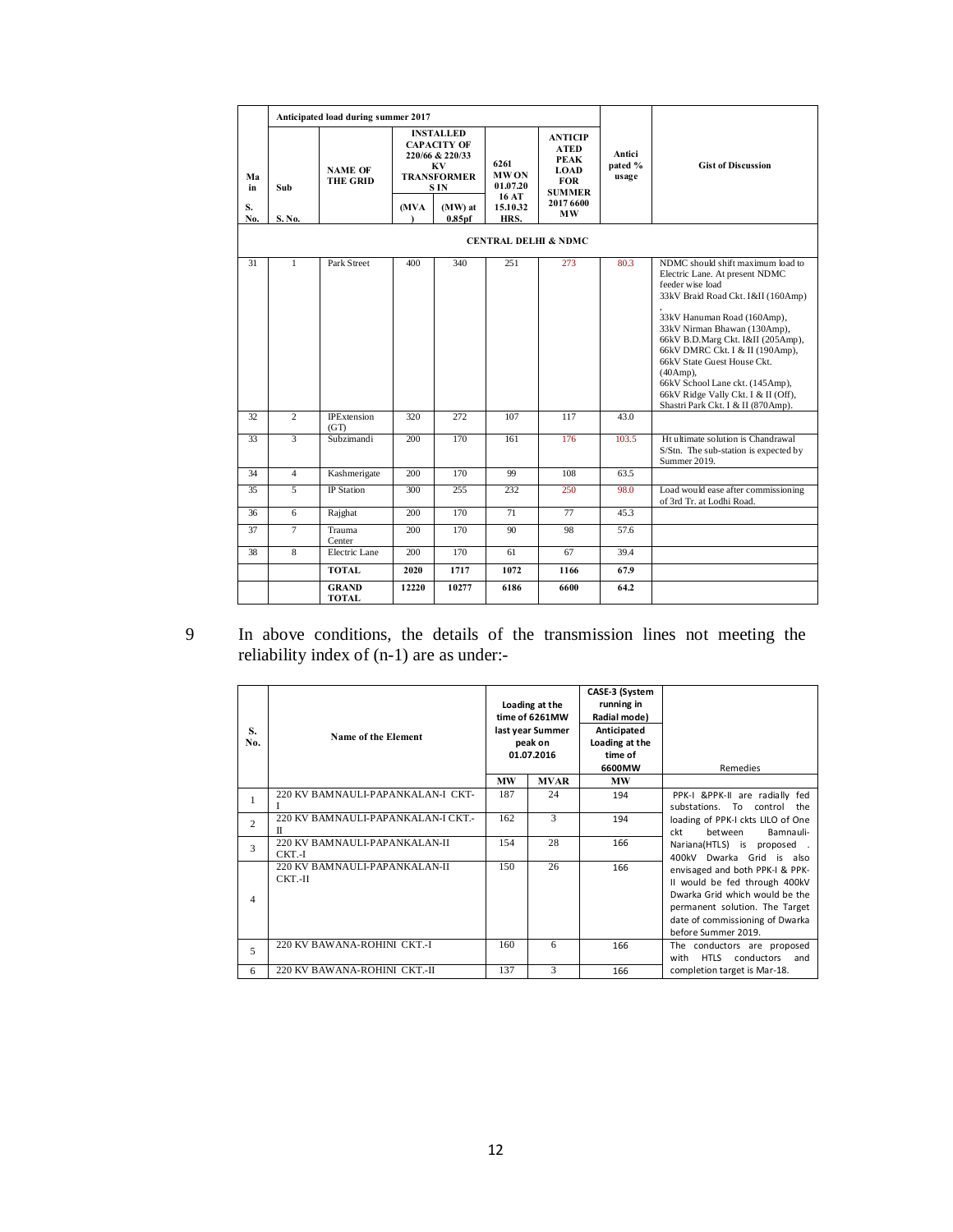|           |                                 | Anticipated load during summer 2017 |                                                                                                     |                               |                                 |                                                                                            |                            |                                                                                                                                                                                                                                                                                                                                                                                                                                    |  |  |  |
|-----------|---------------------------------|-------------------------------------|-----------------------------------------------------------------------------------------------------|-------------------------------|---------------------------------|--------------------------------------------------------------------------------------------|----------------------------|------------------------------------------------------------------------------------------------------------------------------------------------------------------------------------------------------------------------------------------------------------------------------------------------------------------------------------------------------------------------------------------------------------------------------------|--|--|--|
| Mа<br>in  | Sub                             | <b>NAME OF</b><br><b>THE GRID</b>   | <b>INSTALLED</b><br><b>CAPACITY OF</b><br>220/66 & 220/33<br>KV<br><b>TRANSFORMER</b><br><b>SIN</b> |                               | 6261<br><b>MWON</b><br>01.07.20 | <b>ANTICIP</b><br><b>ATED</b><br><b>PEAK</b><br><b>LOAD</b><br><b>FOR</b><br><b>SUMMER</b> | Antici<br>pated %<br>usage | <b>Gist of Discussion</b>                                                                                                                                                                                                                                                                                                                                                                                                          |  |  |  |
| S.<br>No. | S. No.                          |                                     | (MVA                                                                                                | (MW) at<br>0.85 <sub>pf</sub> | 16 AT<br>15.10.32<br>HRS.       | 2017 6600<br>МW                                                                            |                            |                                                                                                                                                                                                                                                                                                                                                                                                                                    |  |  |  |
|           | <b>CENTRAL DELHI &amp; NDMC</b> |                                     |                                                                                                     |                               |                                 |                                                                                            |                            |                                                                                                                                                                                                                                                                                                                                                                                                                                    |  |  |  |
| 31        | 1                               | Park Street                         | 400                                                                                                 | 340                           | 251                             | 273                                                                                        | 80.3                       | NDMC should shift maximum load to<br>Electric Lane. At present NDMC<br>feeder wise load<br>33kV Braid Road Ckt. I&II (160Amp)<br>33kV Hanuman Road (160Amp),<br>33kV Nirman Bhawan (130Amp),<br>66kV B.D.Marg Ckt. I&II (205Amp),<br>66kV DMRC Ckt. I & II (190Amp).<br>66kV State Guest House Ckt.<br>$(40Amp)$ ,<br>66kV School Lane ckt. (145Amp),<br>66kV Ridge Vally Ckt. I & II (Off),<br>Shastri Park Ckt. I & II (870Amp). |  |  |  |
| 32        | $\overline{2}$                  | <b>IPExtension</b><br>(GT)          | 320                                                                                                 | 272                           | 107                             | 117                                                                                        | 43.0                       |                                                                                                                                                                                                                                                                                                                                                                                                                                    |  |  |  |
| 33        | 3                               | Subzimandi                          | 200                                                                                                 | 170                           | 161                             | 176                                                                                        | 103.5                      | Ht ultimate solution is Chandrawal<br>S/Stn. The sub-station is expected by<br>Summer 2019.                                                                                                                                                                                                                                                                                                                                        |  |  |  |
| 34        | $\overline{4}$                  | Kashmerigate                        | 200                                                                                                 | 170                           | 99                              | 108                                                                                        | 63.5                       |                                                                                                                                                                                                                                                                                                                                                                                                                                    |  |  |  |
| 35        | 5                               | <b>IP</b> Station                   | 300                                                                                                 | 255                           | 232                             | 250                                                                                        | 98.0                       | Load would ease after commissioning<br>of 3rd Tr. at Lodhi Road.                                                                                                                                                                                                                                                                                                                                                                   |  |  |  |
| 36        | 6                               | Rajghat                             | 200                                                                                                 | 170                           | 71                              | 77                                                                                         | 45.3                       |                                                                                                                                                                                                                                                                                                                                                                                                                                    |  |  |  |
| 37        | $\overline{\tau}$               | Trauma<br>Center                    | 200                                                                                                 | 170                           | 90                              | 98                                                                                         | 57.6                       |                                                                                                                                                                                                                                                                                                                                                                                                                                    |  |  |  |
| 38        | 8                               | Electric Lane                       | 200                                                                                                 | 170                           | 61                              | 67                                                                                         | 39.4                       |                                                                                                                                                                                                                                                                                                                                                                                                                                    |  |  |  |
|           |                                 | <b>TOTAL</b>                        | 2020                                                                                                | 1717                          | 1072                            | 1166                                                                                       | 67.9                       |                                                                                                                                                                                                                                                                                                                                                                                                                                    |  |  |  |
|           |                                 | <b>GRAND</b><br>TOTAL               | 12220                                                                                               | 10277                         | 6186                            | 6600                                                                                       | 64.2                       |                                                                                                                                                                                                                                                                                                                                                                                                                                    |  |  |  |

9 In above conditions, the details of the transmission lines not meeting the reliability index of (n-1) are as under:-

| S.<br>No.      | Name of the Element                      |           | Loading at the<br>time of 6261MW<br>last year Summer<br>peak on<br>01.07.2016 | CASE-3 (System<br>running in<br>Radial mode)<br>Anticipated<br>Loading at the<br>time of<br>6600MW | Remedies                                                                                                                                                                                       |  |  |
|----------------|------------------------------------------|-----------|-------------------------------------------------------------------------------|----------------------------------------------------------------------------------------------------|------------------------------------------------------------------------------------------------------------------------------------------------------------------------------------------------|--|--|
|                |                                          | <b>MW</b> | <b>MVAR</b>                                                                   | MW                                                                                                 |                                                                                                                                                                                                |  |  |
| 1              | 220 KV BAMNAULI-PAPANKALAN-I CKT-        | 187       | 24                                                                            | 194                                                                                                | PPK-I &PPK-II are radially fed<br>substations. To control the                                                                                                                                  |  |  |
| $\overline{c}$ | 220 KV BAMNAULI-PAPANKALAN-LCKT.-<br>П   | 162       | 3                                                                             | 194                                                                                                | loading of PPK-I ckts LILO of One<br>ckt<br><b>between</b><br>Bamnauli-                                                                                                                        |  |  |
| 3              | 220 KV BAMNAULI-PAPANKALAN-II<br>CKT.-I  | 154       | 28                                                                            | 166                                                                                                | Nariana(HTLS) is proposed.<br>400kV Dwarka Grid is also                                                                                                                                        |  |  |
| 4              | 220 KV BAMNAULI-PAPANKALAN-II<br>CKT.-II | 150       | 26                                                                            | 166                                                                                                | envisaged and both PPK-I & PPK-<br>II would be fed through 400kV<br>Dwarka Grid which would be the<br>permanent solution. The Target<br>date of commissioning of Dwarka<br>before Summer 2019. |  |  |
| 5              | 220 KV BAWANA-ROHINI CKT.-I              | 160       | 6                                                                             | 166                                                                                                | The conductors are proposed<br>HTLS conductors<br>with<br>and                                                                                                                                  |  |  |
| 6              | 220 KV BAWANA-ROHINI CKT.-II             | 137       | 3                                                                             | 166                                                                                                | completion target is Mar-18.                                                                                                                                                                   |  |  |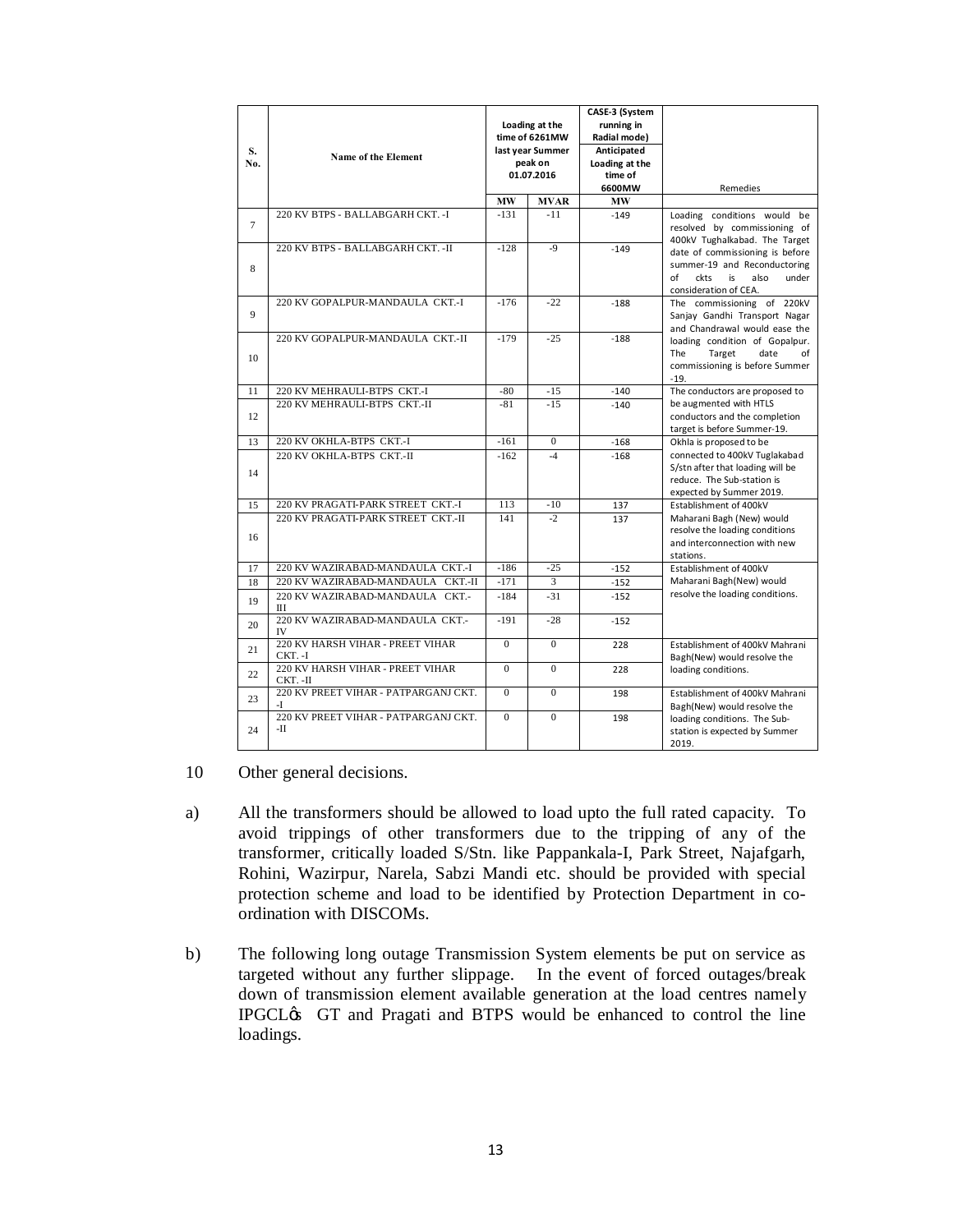| S.<br>No. | Name of the Element                         |                | Loading at the<br>time of 6261MW<br>last year Summer<br>peak on<br>01.07.2016 | CASE-3 (System<br>running in<br>Radial mode)<br>Anticipated<br>Loading at the<br>time of<br>6600MW | Remedies                                                                                                                      |  |  |
|-----------|---------------------------------------------|----------------|-------------------------------------------------------------------------------|----------------------------------------------------------------------------------------------------|-------------------------------------------------------------------------------------------------------------------------------|--|--|
|           |                                             | <b>MW</b>      | <b>MVAR</b>                                                                   | <b>MW</b>                                                                                          |                                                                                                                               |  |  |
| $\tau$    | 220 KV BTPS - BALLABGARH CKT. - I           | $-131$         | $-11$                                                                         | $-149$                                                                                             | Loading conditions would be<br>resolved by commissioning of<br>400kV Tughalkabad. The Target                                  |  |  |
| 8         | 220 KV BTPS - BALLABGARH CKT. - II          | $-128$         | $-9$                                                                          | $-149$                                                                                             | date of commissioning is before<br>summer-19 and Reconductoring<br>of<br>ckts<br>is<br>also<br>under<br>consideration of CEA. |  |  |
| 9         | 220 KV GOPALPUR-MANDAULA CKT.-I             | $-176$         | $-22$                                                                         | $-188$                                                                                             | The commissioning of 220kV<br>Sanjay Gandhi Transport Nagar<br>and Chandrawal would ease the                                  |  |  |
| 10        | 220 KV GOPALPUR-MANDAULA CKT.-II            | $-179$         | $-25$                                                                         | $-188$                                                                                             | loading condition of Gopalpur.<br>The<br>date<br>Target<br>of<br>commissioning is before Summer<br>$-19.$                     |  |  |
| 11        | 220 KV MEHRAULI-BTPS CKT.-I                 | $-80$          | $-15$                                                                         | $-140$                                                                                             | The conductors are proposed to                                                                                                |  |  |
| 12        | 220 KV MEHRAULI-BTPS CKT.-II                | $-81$          | $-15$                                                                         | $-140$                                                                                             | be augmented with HTLS<br>conductors and the completion<br>target is before Summer-19.                                        |  |  |
| 13        | 220 KV OKHLA-BTPS CKT.-I                    | $-161$         | $\mathbf{0}$                                                                  | $-168$                                                                                             | Okhla is proposed to be                                                                                                       |  |  |
| 14        | 220 KV OKHLA-BTPS CKT-II                    | $-162$         | $-4$                                                                          | $-168$                                                                                             | connected to 400kV Tuglakabad<br>S/stn after that loading will be<br>reduce. The Sub-station is<br>expected by Summer 2019.   |  |  |
| 15        | 220 KV PRAGATI-PARK STREET CKT.-I           | 113            | $-10$                                                                         | 137                                                                                                | Establishment of 400kV                                                                                                        |  |  |
| 16        | 220 KV PRAGATI-PARK STREET CKT.-II          | 141            | $\cdot$                                                                       | 137                                                                                                | Maharani Bagh (New) would<br>resolve the loading conditions<br>and interconnection with new<br>stations.                      |  |  |
| 17        | 220 KV WAZIRABAD-MANDAULA CKT.-I            | $-186$         | $-25$                                                                         | $-152$                                                                                             | Establishment of 400kV                                                                                                        |  |  |
| 18        | 220 KV WAZIRABAD-MANDAULA CKT.-II           | $-171$         | 3                                                                             | $-152$                                                                                             | Maharani Bagh(New) would                                                                                                      |  |  |
| 19        | 220 KV WAZIRABAD-MANDAULA CKT.-<br>Ш        | $-184$         | $-31$                                                                         | $-152$                                                                                             | resolve the loading conditions.                                                                                               |  |  |
| 20        | 220 KV WAZIRABAD-MANDAULA CKT.-<br>IV       | $-191$         | $-28$                                                                         | $-152$                                                                                             |                                                                                                                               |  |  |
| 21        | 220 KV HARSH VIHAR - PREET VIHAR<br>CKT. -I | $\overline{0}$ | $\overline{0}$                                                                | 228                                                                                                | Establishment of 400kV Mahrani<br>Bagh(New) would resolve the                                                                 |  |  |
| 22        | 220 KV HARSH VIHAR - PREET VIHAR<br>CKT.-II | $\overline{0}$ | $\overline{0}$                                                                | 228                                                                                                | loading conditions.                                                                                                           |  |  |
| 23        | 220 KV PREET VIHAR - PATPARGANJ CKT.<br>-T  | $\mathbf{0}$   | $\mathbf{0}$                                                                  | 198                                                                                                | Establishment of 400kV Mahrani<br>Bagh(New) would resolve the                                                                 |  |  |
| 24        | 220 KV PREET VIHAR - PATPARGANJ CKT.<br>-П  | $\Omega$       | $\Omega$                                                                      | 198                                                                                                | loading conditions. The Sub-<br>station is expected by Summer<br>2019.                                                        |  |  |

- 10 Other general decisions.
- a) All the transformers should be allowed to load upto the full rated capacity. To avoid trippings of other transformers due to the tripping of any of the transformer, critically loaded S/Stn. like Pappankala-I, Park Street, Najafgarh, Rohini, Wazirpur, Narela, Sabzi Mandi etc. should be provided with special protection scheme and load to be identified by Protection Department in coordination with DISCOMs.
- b) The following long outage Transmission System elements be put on service as targeted without any further slippage. In the event of forced outages/break down of transmission element available generation at the load centres namely IPGCL $\&$  GT and Pragati and BTPS would be enhanced to control the line loadings.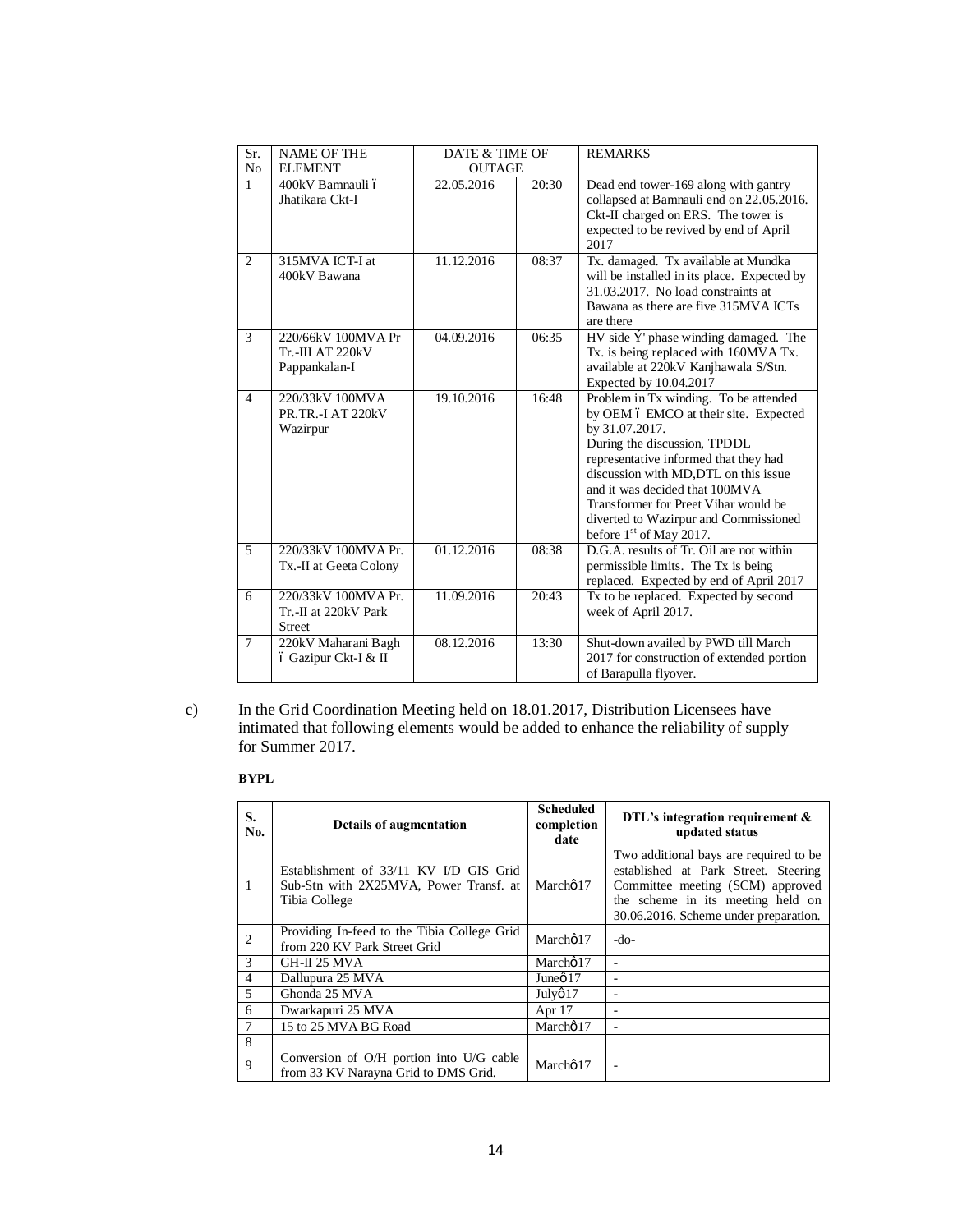| Sr.            | <b>NAME OF THE</b>      | DATE & TIME OF |       | <b>REMARKS</b>                              |
|----------------|-------------------------|----------------|-------|---------------------------------------------|
| N <sub>0</sub> | <b>ELEMENT</b>          | <b>OUTAGE</b>  |       |                                             |
| $\mathbf{1}$   | 400kV Bamnauli ó        | 22.05.2016     | 20:30 | Dead end tower-169 along with gantry        |
|                | Jhatikara Ckt-I         |                |       | collapsed at Bamnauli end on 22.05.2016.    |
|                |                         |                |       | Ckt-II charged on ERS. The tower is         |
|                |                         |                |       | expected to be revived by end of April      |
|                |                         |                |       | 2017                                        |
| 2              | 315MVA ICT-I at         | 11.12.2016     | 08:37 | Tx. damaged. Tx available at Mundka         |
|                | 400kV Bawana            |                |       | will be installed in its place. Expected by |
|                |                         |                |       | 31.03.2017. No load constraints at          |
|                |                         |                |       | Bawana as there are five 315MVA ICTs        |
|                |                         |                |       | are there                                   |
| 3              | 220/66kV 100MVA Pr      | 04.09.2016     | 06:35 | $HV$ side $Y'$ phase winding damaged. The   |
|                | <b>Tr.-III AT 220kV</b> |                |       | Tx. is being replaced with 160MVA Tx.       |
|                | Pappankalan-I           |                |       | available at 220kV Kanjhawala S/Stn.        |
|                |                         |                |       | Expected by 10.04.2017                      |
| $\overline{4}$ | 220/33kV 100MVA         | 19.10.2016     | 16:48 | Problem in Tx winding. To be attended       |
|                | PR.TR.-I AT 220kV       |                |       | by OEM 6 EMCO at their site. Expected       |
|                | Wazirpur                |                |       | by 31.07.2017.                              |
|                |                         |                |       | During the discussion, TPDDL                |
|                |                         |                |       | representative informed that they had       |
|                |                         |                |       | discussion with MD, DTL on this issue       |
|                |                         |                |       | and it was decided that 100MVA              |
|                |                         |                |       | Transformer for Preet Vihar would be        |
|                |                         |                |       | diverted to Wazirpur and Commissioned       |
|                |                         |                |       | before $1st$ of May 2017.                   |
| 5              | 220/33kV 100MVA Pr.     | 01.12.2016     | 08:38 | D.G.A. results of Tr. Oil are not within    |
|                | Tx.-II at Geeta Colony  |                |       | permissible limits. The Tx is being         |
|                |                         |                |       | replaced. Expected by end of April 2017     |
| 6              | 220/33kV 100MVA Pr.     | 11.09.2016     | 20:43 | Tx to be replaced. Expected by second       |
|                | Tr.-II at 220kV Park    |                |       | week of April 2017.                         |
|                | <b>Street</b>           |                |       |                                             |
| $\overline{7}$ | 220kV Maharani Bagh     | 08.12.2016     | 13:30 | Shut-down availed by PWD till March         |
|                | ó Gazipur Ckt-I & II    |                |       | 2017 for construction of extended portion   |
|                |                         |                |       | of Barapulla flyover.                       |

c) In the Grid Coordination Meeting held on 18.01.2017, Distribution Licensees have intimated that following elements would be added to enhance the reliability of supply for Summer 2017.

#### **BYPL**

| S.<br>No.      | <b>Details of augmentation</b>                                                                    | <b>Scheduled</b><br>completion<br>date | DTL's integration requirement &<br>updated status                                                                                                                                                 |
|----------------|---------------------------------------------------------------------------------------------------|----------------------------------------|---------------------------------------------------------------------------------------------------------------------------------------------------------------------------------------------------|
| 1              | Establishment of 33/11 KV I/D GIS Grid<br>Sub-Stn with 2X25MVA, Power Transf. at<br>Tibia College | Marchø 17                              | Two additional bays are required to be.<br>established at Park Street. Steering<br>Committee meeting (SCM) approved<br>the scheme in its meeting held on<br>30.06.2016. Scheme under preparation. |
| $\overline{2}$ | Providing In-feed to the Tibia College Grid<br>from 220 KV Park Street Grid                       | Marchø17                               | -do-                                                                                                                                                                                              |
| 3              | GH-II 25 MVA                                                                                      | Marcho 17                              |                                                                                                                                                                                                   |
| $\overline{4}$ | Dallupura 25 MVA                                                                                  | June $\varnothing$ 17                  |                                                                                                                                                                                                   |
| 5              | Ghonda 25 MVA                                                                                     | July@17                                |                                                                                                                                                                                                   |
| 6              | Dwarkapuri 25 MVA                                                                                 | Apr $17$                               |                                                                                                                                                                                                   |
| $\overline{7}$ | 15 to 25 MVA BG Road                                                                              | Marcho 17                              |                                                                                                                                                                                                   |
| $\mathbf{8}$   |                                                                                                   |                                        |                                                                                                                                                                                                   |
| 9              | Conversion of O/H portion into U/G cable<br>from 33 KV Narayna Grid to DMS Grid.                  | Marchø17                               |                                                                                                                                                                                                   |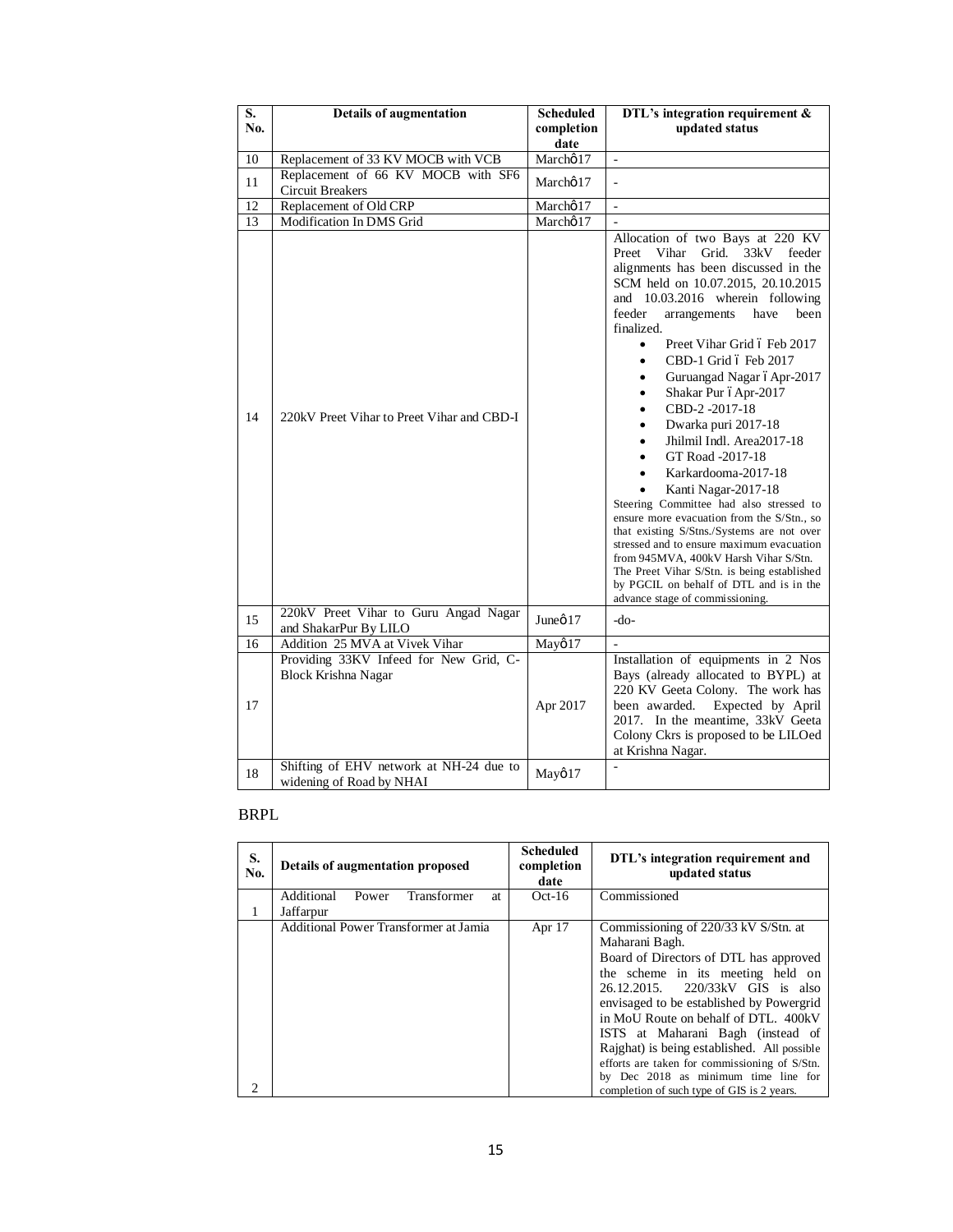| S.  | <b>Details of augmentation</b>                                       | <b>Scheduled</b>   | DTL's integration requirement $&$                                                                                                                                                                                                                                                                                                                                                                                                                                                                                                                                                                                                                                                                                                                                                                                                                                                                                                                                                  |
|-----|----------------------------------------------------------------------|--------------------|------------------------------------------------------------------------------------------------------------------------------------------------------------------------------------------------------------------------------------------------------------------------------------------------------------------------------------------------------------------------------------------------------------------------------------------------------------------------------------------------------------------------------------------------------------------------------------------------------------------------------------------------------------------------------------------------------------------------------------------------------------------------------------------------------------------------------------------------------------------------------------------------------------------------------------------------------------------------------------|
| No. |                                                                      | completion<br>date | updated status                                                                                                                                                                                                                                                                                                                                                                                                                                                                                                                                                                                                                                                                                                                                                                                                                                                                                                                                                                     |
| 10  | Replacement of 33 KV MOCB with VCB                                   | Marcho 17          | $\overline{\phantom{a}}$                                                                                                                                                                                                                                                                                                                                                                                                                                                                                                                                                                                                                                                                                                                                                                                                                                                                                                                                                           |
| 11  | Replacement of 66 KV MOCB with SF6<br><b>Circuit Breakers</b>        | Marcho 17          |                                                                                                                                                                                                                                                                                                                                                                                                                                                                                                                                                                                                                                                                                                                                                                                                                                                                                                                                                                                    |
| 12  | Replacement of Old CRP                                               | Marchø17           | ÷,                                                                                                                                                                                                                                                                                                                                                                                                                                                                                                                                                                                                                                                                                                                                                                                                                                                                                                                                                                                 |
| 13  | Modification In DMS Grid                                             | Marchø17           | $\bar{\phantom{a}}$                                                                                                                                                                                                                                                                                                                                                                                                                                                                                                                                                                                                                                                                                                                                                                                                                                                                                                                                                                |
| 14  | 220kV Preet Vihar to Preet Vihar and CBD-I                           |                    | Allocation of two Bays at 220 KV<br>Vihar<br>Grid.<br>33kV<br>Preet<br>feeder<br>alignments has been discussed in the<br>SCM held on 10.07.2015, 20.10.2015<br>and 10.03.2016 wherein following<br>feeder<br>arrangements<br>have<br>been<br>finalized.<br>Preet Vihar Grid 6 Feb 2017<br>$\bullet$<br>CBD-1 Grid 6 Feb 2017<br>$\bullet$<br>Guruangad Nagar óApr-2017<br>$\bullet$<br>Shakar Pur óApr-2017<br>$\bullet$<br>CBD-2-2017-18<br>٠<br>Dwarka puri 2017-18<br>$\bullet$<br>Jhilmil Indl. Area2017-18<br>$\bullet$<br>GT Road -2017-18<br>$\bullet$<br>Karkardooma-2017-18<br>$\bullet$<br>Kanti Nagar-2017-18<br>Steering Committee had also stressed to<br>ensure more evacuation from the S/Stn., so<br>that existing S/Stns./Systems are not over<br>stressed and to ensure maximum evacuation<br>from 945MVA, 400kV Harsh Vihar S/Stn.<br>The Preet Vihar S/Stn. is being established<br>by PGCIL on behalf of DTL and is in the<br>advance stage of commissioning. |
| 15  | 220kV Preet Vihar to Guru Angad Nagar<br>and ShakarPur By LILO       | Juneø 17           | $-do-$                                                                                                                                                                                                                                                                                                                                                                                                                                                                                                                                                                                                                                                                                                                                                                                                                                                                                                                                                                             |
| 16  | Addition 25 MVA at Vivek Vihar                                       | Mayø17             | L.                                                                                                                                                                                                                                                                                                                                                                                                                                                                                                                                                                                                                                                                                                                                                                                                                                                                                                                                                                                 |
| 17  | Providing 33KV Infeed for New Grid, C-<br><b>Block Krishna Nagar</b> | Apr 2017           | Installation of equipments in 2 Nos<br>Bays (already allocated to BYPL) at<br>220 KV Geeta Colony. The work has<br>been awarded.<br>Expected by April<br>2017. In the meantime, 33kV Geeta<br>Colony Ckrs is proposed to be LILOed<br>at Krishna Nagar.                                                                                                                                                                                                                                                                                                                                                                                                                                                                                                                                                                                                                                                                                                                            |
| 18  | Shifting of EHV network at NH-24 due to<br>widening of Road by NHAI  | Mayø17             | $\overline{a}$                                                                                                                                                                                                                                                                                                                                                                                                                                                                                                                                                                                                                                                                                                                                                                                                                                                                                                                                                                     |

## BRPL

| S.<br>No.                   | <b>Details of augmentation proposed</b>  | <b>Scheduled</b><br>completion<br>date | DTL's integration requirement and<br>updated status |
|-----------------------------|------------------------------------------|----------------------------------------|-----------------------------------------------------|
|                             | Transformer<br>Additional<br>Power<br>at | $Oct-16$                               | Commissioned                                        |
| 1                           | Jaffarpur                                |                                        |                                                     |
|                             | Additional Power Transformer at Jamia    | Apr 17                                 | Commissioning of 220/33 kV S/Stn. at                |
|                             |                                          |                                        | Maharani Bagh.                                      |
|                             |                                          |                                        | Board of Directors of DTL has approved              |
|                             |                                          |                                        | the scheme in its meeting held on                   |
|                             |                                          |                                        | 26.12.2015. 220/33kV GIS is also                    |
|                             |                                          |                                        | envisaged to be established by Powergrid            |
|                             |                                          |                                        | in MoU Route on behalf of DTL. 400kV                |
|                             |                                          |                                        | ISTS at Maharani Bagh (instead of                   |
|                             |                                          |                                        | Rajghat) is being established. All possible         |
|                             |                                          |                                        | efforts are taken for commissioning of S/Stn.       |
|                             |                                          |                                        | by Dec 2018 as minimum time line for                |
| $\mathcal{D}_{\mathcal{L}}$ |                                          |                                        | completion of such type of GIS is 2 years.          |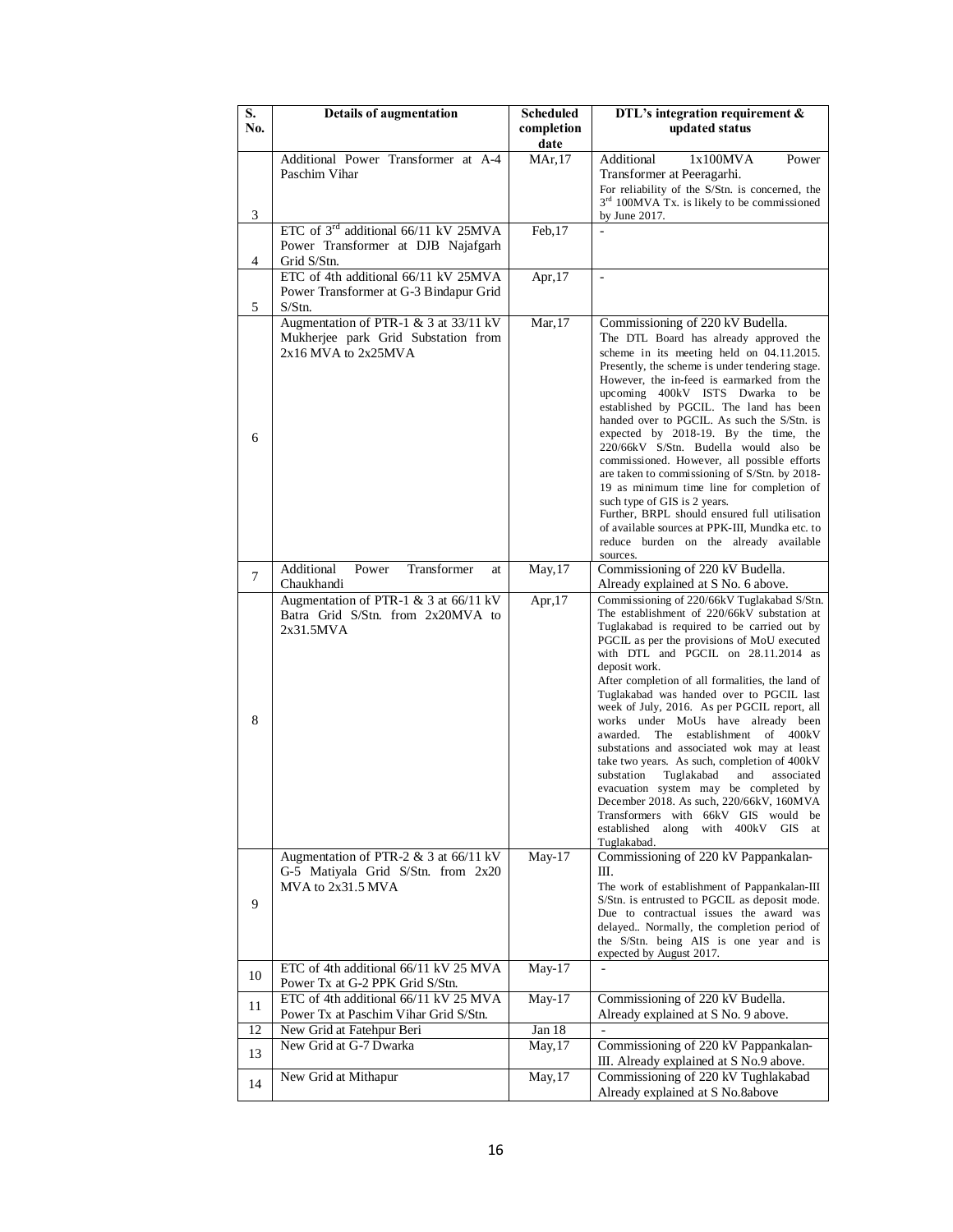| $\overline{\mathbf{S}}$ . | <b>Details of augmentation</b>                                               | <b>Scheduled</b>   | DTL's integration requirement &                                                                   |
|---------------------------|------------------------------------------------------------------------------|--------------------|---------------------------------------------------------------------------------------------------|
| No.                       |                                                                              | completion<br>date | updated status                                                                                    |
|                           | Additional Power Transformer at A-4                                          | MAr, 17            | Additional<br>1x100MVA<br>Power                                                                   |
|                           | Paschim Vihar                                                                |                    | Transformer at Peeragarhi.                                                                        |
|                           |                                                                              |                    | For reliability of the S/Stn. is concerned, the<br>$3rd 100MVA Tx$ . is likely to be commissioned |
| 3                         |                                                                              |                    | by June 2017.                                                                                     |
|                           | ETC of 3 <sup>rd</sup> additional 66/11 kV 25MVA                             | Feb,17             |                                                                                                   |
| 4                         | Power Transformer at DJB Najafgarh<br>Grid S/Stn.                            |                    |                                                                                                   |
|                           | ETC of 4th additional 66/11 kV 25MVA                                         | Apr,17             | $\sim$                                                                                            |
|                           | Power Transformer at G-3 Bindapur Grid                                       |                    |                                                                                                   |
| 5                         | $S/S$ tn.                                                                    |                    |                                                                                                   |
|                           | Augmentation of PTR-1 & 3 at 33/11 kV<br>Mukherjee park Grid Substation from | Mar, 17            | Commissioning of 220 kV Budella.                                                                  |
|                           | $2x16$ MVA to $2x25$ MVA                                                     |                    | The DTL Board has already approved the<br>scheme in its meeting held on 04.11.2015.               |
|                           |                                                                              |                    | Presently, the scheme is under tendering stage.                                                   |
|                           |                                                                              |                    | However, the in-feed is earmarked from the<br>upcoming 400kV ISTS Dwarka to be                    |
|                           |                                                                              |                    | established by PGCIL. The land has been                                                           |
|                           |                                                                              |                    | handed over to PGCIL. As such the S/Stn. is<br>expected by 2018-19. By the time, the              |
| 6                         |                                                                              |                    | 220/66kV S/Stn. Budella would also be                                                             |
|                           |                                                                              |                    | commissioned. However, all possible efforts<br>are taken to commissioning of S/Stn. by 2018-      |
|                           |                                                                              |                    | 19 as minimum time line for completion of                                                         |
|                           |                                                                              |                    | such type of GIS is 2 years.<br>Further, BRPL should ensured full utilisation                     |
|                           |                                                                              |                    | of available sources at PPK-III, Mundka etc. to                                                   |
|                           |                                                                              |                    | reduce burden on the already available                                                            |
|                           | Transformer<br>Additional<br>Power<br>at                                     | May, 17            | sources.<br>Commissioning of 220 kV Budella.                                                      |
| $\overline{7}$            | Chaukhandi                                                                   |                    | Already explained at S No. 6 above.                                                               |
|                           | Augmentation of PTR-1 & 3 at 66/11 kV<br>Batra Grid S/Stn. from 2x20MVA to   | Apr, $17$          | Commissioning of 220/66kV Tuglakabad S/Stn.<br>The establishment of 220/66kV substation at        |
|                           | 2x31.5MVA                                                                    |                    | Tuglakabad is required to be carried out by                                                       |
|                           |                                                                              |                    | PGCIL as per the provisions of MoU executed<br>with DTL and PGCIL on 28.11.2014 as                |
|                           |                                                                              |                    | deposit work.                                                                                     |
|                           |                                                                              |                    | After completion of all formalities, the land of<br>Tuglakabad was handed over to PGCIL last      |
|                           |                                                                              |                    | week of July, 2016. As per PGCIL report, all                                                      |
| 8                         |                                                                              |                    | works under MoUs have already been<br>awarded.<br>The establishment of 400kV                      |
|                           |                                                                              |                    | substations and associated wok may at least                                                       |
|                           |                                                                              |                    | take two years. As such, completion of 400kV<br>substation<br>Tuglakabad<br>associated<br>and     |
|                           |                                                                              |                    | evacuation system may be completed by                                                             |
|                           |                                                                              |                    | December 2018. As such, 220/66kV, 160MVA<br>Transformers with 66kV GIS would be                   |
|                           |                                                                              |                    | established<br>along<br>with 400kV<br><b>GIS</b><br>at                                            |
|                           | Augmentation of PTR-2 $&$ 3 at 66/11 kV                                      | May-17             | Tuglakabad.<br>Commissioning of 220 kV Pappankalan-                                               |
|                           | G-5 Matiyala Grid S/Stn. from 2x20                                           |                    | Ш.                                                                                                |
|                           | MVA to 2x31.5 MVA                                                            |                    | The work of establishment of Pappankalan-III                                                      |
| 9                         |                                                                              |                    | S/Stn. is entrusted to PGCIL as deposit mode.<br>Due to contractual issues the award was          |
|                           |                                                                              |                    | delayed Normally, the completion period of                                                        |
|                           |                                                                              |                    | the S/Stn. being AIS is one year and is<br>expected by August 2017.                               |
| 10                        | ETC of 4th additional 66/11 kV 25 MVA                                        | $May-17$           |                                                                                                   |
|                           | Power Tx at G-2 PPK Grid S/Stn.<br>ETC of 4th additional 66/11 kV 25 MVA     | $May-17$           | Commissioning of 220 kV Budella.                                                                  |
| 11                        | Power Tx at Paschim Vihar Grid S/Stn.                                        |                    | Already explained at S No. 9 above.                                                               |
| 12                        | New Grid at Fatehpur Beri                                                    | Jan $18$           |                                                                                                   |
| 13                        | New Grid at G-7 Dwarka                                                       | May, 17            | Commissioning of 220 kV Pappankalan-<br>III. Already explained at S No.9 above.                   |
|                           | New Grid at Mithapur                                                         | May, 17            | Commissioning of 220 kV Tughlakabad                                                               |
| 14                        |                                                                              |                    | Already explained at S No.8above                                                                  |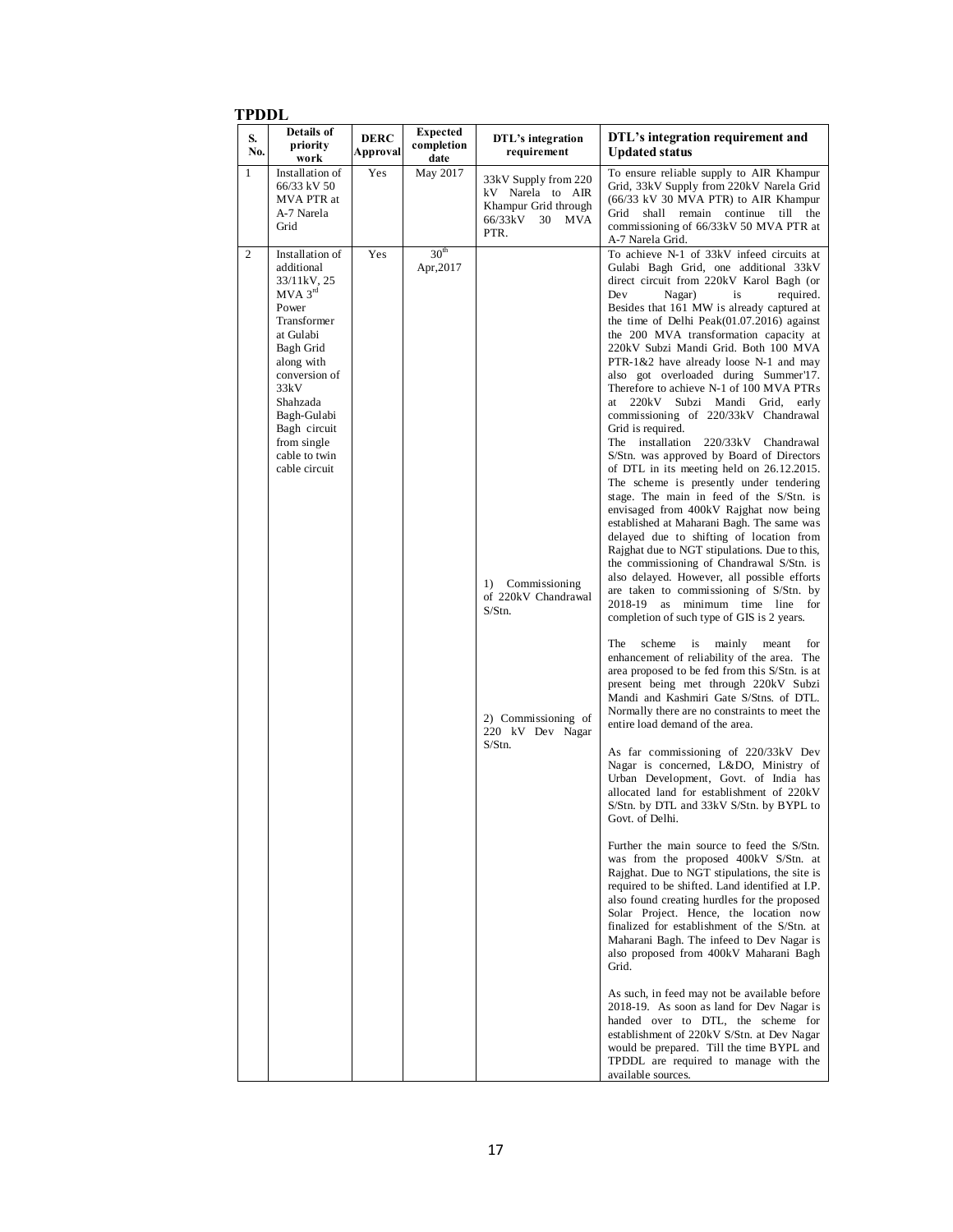#### **TPDDL**

| S.<br>No.      | <b>Details of</b><br>priority<br>work                                                                                                                                                                                                                      | <b>DERC</b><br><b>Approval</b> | <b>Expected</b><br>completion<br>date | DTL's integration<br>requirement                                                                             | DTL's integration requirement and<br><b>Updated status</b>                                                                                                                                                                                                                                                                                                                                                                                                                                                                                                                                                                                                                                                                                                                                                                                                                                                                                                                                                                                                                                                                                                                                                                                                                                                                                                                                                                                                                                                                                                                                                                                                                                                                                                                                                                                                                                                                                                                                                                                                                                                                                                                                                                                                                                                                                                                                                                                                                                                                            |
|----------------|------------------------------------------------------------------------------------------------------------------------------------------------------------------------------------------------------------------------------------------------------------|--------------------------------|---------------------------------------|--------------------------------------------------------------------------------------------------------------|---------------------------------------------------------------------------------------------------------------------------------------------------------------------------------------------------------------------------------------------------------------------------------------------------------------------------------------------------------------------------------------------------------------------------------------------------------------------------------------------------------------------------------------------------------------------------------------------------------------------------------------------------------------------------------------------------------------------------------------------------------------------------------------------------------------------------------------------------------------------------------------------------------------------------------------------------------------------------------------------------------------------------------------------------------------------------------------------------------------------------------------------------------------------------------------------------------------------------------------------------------------------------------------------------------------------------------------------------------------------------------------------------------------------------------------------------------------------------------------------------------------------------------------------------------------------------------------------------------------------------------------------------------------------------------------------------------------------------------------------------------------------------------------------------------------------------------------------------------------------------------------------------------------------------------------------------------------------------------------------------------------------------------------------------------------------------------------------------------------------------------------------------------------------------------------------------------------------------------------------------------------------------------------------------------------------------------------------------------------------------------------------------------------------------------------------------------------------------------------------------------------------------------------|
| $\mathbf{1}$   | Installation of<br>66/33 kV 50<br>MVA PTR at<br>A-7 Narela<br>Grid                                                                                                                                                                                         | Yes                            | May 2017                              | 33kV Supply from 220<br>kV Narela to AIR<br>Khampur Grid through<br>66/33kV<br>30<br><b>MVA</b><br>PTR.      | To ensure reliable supply to AIR Khampur<br>Grid, 33kV Supply from 220kV Narela Grid<br>(66/33 kV 30 MVA PTR) to AIR Khampur<br>shall remain continue till the<br>Grid<br>commissioning of 66/33kV 50 MVA PTR at<br>A-7 Narela Grid.                                                                                                                                                                                                                                                                                                                                                                                                                                                                                                                                                                                                                                                                                                                                                                                                                                                                                                                                                                                                                                                                                                                                                                                                                                                                                                                                                                                                                                                                                                                                                                                                                                                                                                                                                                                                                                                                                                                                                                                                                                                                                                                                                                                                                                                                                                  |
| $\overline{c}$ | Installation of<br>additional<br>33/11kV, 25<br>$MVA$ 3 <sup>rd</sup><br>Power<br>Transformer<br>at Gulabi<br>Bagh Grid<br>along with<br>conversion of<br>33kV<br>Shahzada<br>Bagh-Gulabi<br>Bagh circuit<br>from single<br>cable to twin<br>cable circuit | Yes                            | 30 <sup>th</sup><br>Apr, 2017         | Commissioning<br>1)<br>of 220kV Chandrawal<br>S/Stn.<br>2) Commissioning of<br>220 kV Dev Nagar<br>$S/S$ tn. | To achieve N-1 of 33kV infeed circuits at<br>Gulabi Bagh Grid, one additional 33kV<br>direct circuit from 220kV Karol Bagh (or<br>Dev<br>Nagar)<br>is<br>required.<br>Besides that 161 MW is already captured at<br>the time of Delhi Peak $(01.07.2016)$ against<br>the 200 MVA transformation capacity at<br>220kV Subzi Mandi Grid. Both 100 MVA<br>PTR-1&2 have already loose N-1 and may<br>also got overloaded during Summer'17.<br>Therefore to achieve N-1 of 100 MVA PTRs<br>Subzi<br>Mandi Grid, early<br>at<br>220kV<br>commissioning of 220/33kV Chandrawal<br>Grid is required.<br>The installation 220/33kV Chandrawal<br>S/Stn. was approved by Board of Directors<br>of DTL in its meeting held on 26.12.2015.<br>The scheme is presently under tendering<br>stage. The main in feed of the S/Stn. is<br>envisaged from 400kV Rajghat now being<br>established at Maharani Bagh. The same was<br>delayed due to shifting of location from<br>Rajghat due to NGT stipulations. Due to this,<br>the commissioning of Chandrawal S/Stn. is<br>also delayed. However, all possible efforts<br>are taken to commissioning of S/Stn. by<br>2018-19 as minimum time line for<br>completion of such type of GIS is 2 years.<br>scheme<br>mainly<br>The<br>is<br>meant<br>for<br>enhancement of reliability of the area. The<br>area proposed to be fed from this S/Stn. is at<br>present being met through 220kV Subzi<br>Mandi and Kashmiri Gate S/Stns. of DTL.<br>Normally there are no constraints to meet the<br>entire load demand of the area.<br>As far commissioning of 220/33kV Dev<br>Nagar is concerned, L&DO, Ministry of<br>Urban Development, Govt. of India has<br>allocated land for establishment of 220kV<br>S/Stn. by DTL and 33kV S/Stn. by BYPL to<br>Govt. of Delhi.<br>Further the main source to feed the S/Stn.<br>was from the proposed 400kV S/Stn. at<br>Rajghat. Due to NGT stipulations, the site is<br>required to be shifted. Land identified at I.P.<br>also found creating hurdles for the proposed<br>Solar Project. Hence, the location now<br>finalized for establishment of the S/Stn. at<br>Maharani Bagh. The infeed to Dev Nagar is<br>also proposed from 400kV Maharani Bagh<br>Grid.<br>As such, in feed may not be available before<br>2018-19. As soon as land for Dev Nagar is<br>handed over to DTL, the scheme for<br>establishment of 220kV S/Stn. at Dev Nagar<br>would be prepared. Till the time BYPL and<br>TPDDL are required to manage with the<br>available sources. |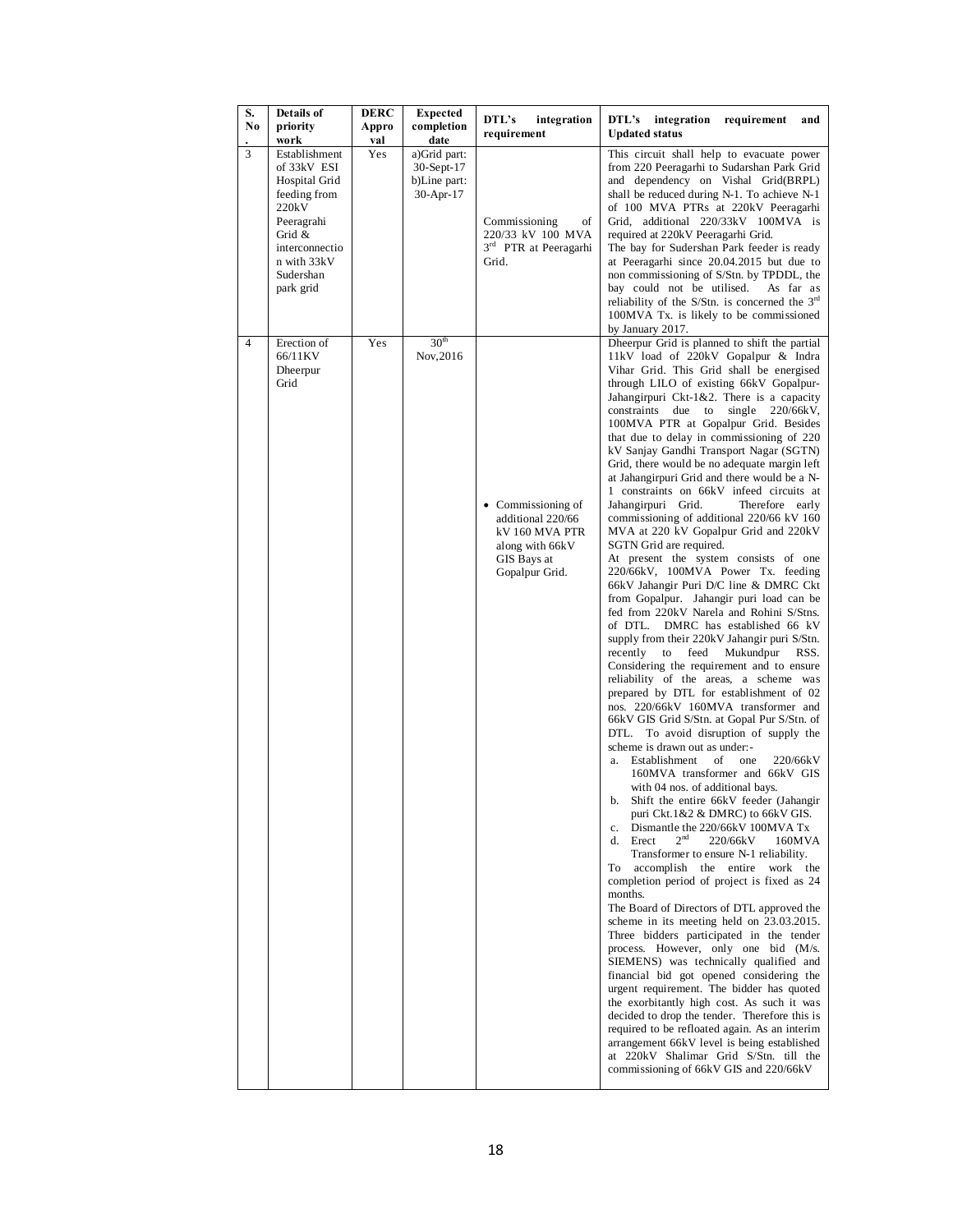| S.<br>No | Details of<br>priority<br>work                                                                                                                            | <b>DERC</b><br>Appro<br>val | <b>Expected</b><br>completion<br>date                   | DTL's<br>integration<br>requirement                                                                                      | integration<br>DTL's<br>requirement<br>and<br><b>Updated status</b>                                                                                                                                                                                                                                                                                                                                                                                                                                                                                                                                                                                                                                                                                                                                                                                                                                                                                                                                                                                                                                                                                                                                                                                                                                                                                                                                                                                                                                                                                                                                                                                                                                                                                                                                                                                                                                                                                                                                                                                                                                                                                                                                                                                                                                                                                                                                                                     |
|----------|-----------------------------------------------------------------------------------------------------------------------------------------------------------|-----------------------------|---------------------------------------------------------|--------------------------------------------------------------------------------------------------------------------------|-----------------------------------------------------------------------------------------------------------------------------------------------------------------------------------------------------------------------------------------------------------------------------------------------------------------------------------------------------------------------------------------------------------------------------------------------------------------------------------------------------------------------------------------------------------------------------------------------------------------------------------------------------------------------------------------------------------------------------------------------------------------------------------------------------------------------------------------------------------------------------------------------------------------------------------------------------------------------------------------------------------------------------------------------------------------------------------------------------------------------------------------------------------------------------------------------------------------------------------------------------------------------------------------------------------------------------------------------------------------------------------------------------------------------------------------------------------------------------------------------------------------------------------------------------------------------------------------------------------------------------------------------------------------------------------------------------------------------------------------------------------------------------------------------------------------------------------------------------------------------------------------------------------------------------------------------------------------------------------------------------------------------------------------------------------------------------------------------------------------------------------------------------------------------------------------------------------------------------------------------------------------------------------------------------------------------------------------------------------------------------------------------------------------------------------------|
| 3        | Establishment<br>of 33kV ESI<br>Hospital Grid<br>feeding from<br>220kV<br>Peeragrahi<br>Grid &<br>interconnectio<br>n with 33kV<br>Sudershan<br>park grid | Yes                         | a)Grid part:<br>30-Sept-17<br>b)Line part:<br>30-Apr-17 | Commissioning<br>of<br>220/33 kV 100 MVA<br>3 <sup>rd</sup> PTR at Peeragarhi<br>Grid.                                   | This circuit shall help to evacuate power<br>from 220 Peeragarhi to Sudarshan Park Grid<br>and dependency on Vishal Grid(BRPL)<br>shall be reduced during N-1. To achieve N-1<br>of 100 MVA PTRs at 220kV Peeragarhi<br>Grid, additional 220/33kV 100MVA is<br>required at 220kV Peeragarhi Grid.<br>The bay for Sudershan Park feeder is ready<br>at Peeragarhi since 20.04.2015 but due to<br>non commissioning of S/Stn. by TPDDL, the<br>bay could not be utilised.<br>As far as<br>reliability of the S/Stn. is concerned the $3rd$<br>100MVA Tx. is likely to be commissioned<br>by January 2017.                                                                                                                                                                                                                                                                                                                                                                                                                                                                                                                                                                                                                                                                                                                                                                                                                                                                                                                                                                                                                                                                                                                                                                                                                                                                                                                                                                                                                                                                                                                                                                                                                                                                                                                                                                                                                                 |
| 4        | Erection of<br>66/11KV<br>Dheerpur<br>Grid                                                                                                                | Yes                         | 30 <sup>th</sup><br>Nov, 2016                           | Commissioning of<br>$\bullet$<br>additional 220/66<br>kV 160 MVA PTR<br>along with 66kV<br>GIS Bays at<br>Gopalpur Grid. | Dheerpur Grid is planned to shift the partial<br>11kV load of 220kV Gopalpur & Indra<br>Vihar Grid. This Grid shall be energised<br>through LILO of existing 66kV Gopalpur-<br>Jahangirpuri Ckt-1&2. There is a capacity<br>constraints due to<br>single $220/66kV$ ,<br>100MVA PTR at Gopalpur Grid. Besides<br>that due to delay in commissioning of 220<br>kV Sanjay Gandhi Transport Nagar (SGTN)<br>Grid, there would be no adequate margin left<br>at Jahangirpuri Grid and there would be a N-<br>1 constraints on 66kV infeed circuits at<br>Jahangirpuri Grid.<br>Therefore early<br>commissioning of additional 220/66 kV 160<br>MVA at 220 kV Gopalpur Grid and 220kV<br>SGTN Grid are required.<br>At present the system consists of one<br>220/66kV, 100MVA Power Tx. feeding<br>66kV Jahangir Puri D/C line & DMRC Ckt<br>from Gopalpur. Jahangir puri load can be<br>fed from 220kV Narela and Rohini S/Stns.<br>DMRC has established 66 kV<br>of DTL.<br>supply from their 220kV Jahangir puri S/Stn.<br>recently<br>to<br>feed<br>Mukundpur<br>RSS.<br>Considering the requirement and to ensure<br>reliability of the areas, a scheme was<br>prepared by DTL for establishment of 02<br>nos. 220/66kV 160MVA transformer and<br>66kV GIS Grid S/Stn. at Gopal Pur S/Stn. of<br>DTL.<br>To avoid disruption of supply the<br>scheme is drawn out as under:-<br>Establishment<br>οf<br>one<br>220/66kV<br>a.<br>160MVA transformer and 66kV GIS<br>with 04 nos. of additional bays.<br>b. Shift the entire 66kV feeder (Jahangir<br>puri $Ckt.1&2&DMRC$ to 66kV GIS.<br>Dismantle the 220/66kV 100MVA Tx<br>c.<br>2 <sup>nd</sup><br>Erect<br>220/66kV<br>d.<br>160MVA<br>Transformer to ensure N-1 reliability.<br>accomplish the entire work the<br>To<br>completion period of project is fixed as 24<br>months.<br>The Board of Directors of DTL approved the<br>scheme in its meeting held on 23.03.2015.<br>Three bidders participated in the tender<br>process. However, only one bid (M/s.<br>SIEMENS) was technically qualified and<br>financial bid got opened considering the<br>urgent requirement. The bidder has quoted<br>the exorbitantly high cost. As such it was<br>decided to drop the tender. Therefore this is<br>required to be refloated again. As an interim<br>arrangement 66kV level is being established<br>at 220kV Shalimar Grid S/Stn. till the<br>commissioning of 66kV GIS and 220/66kV |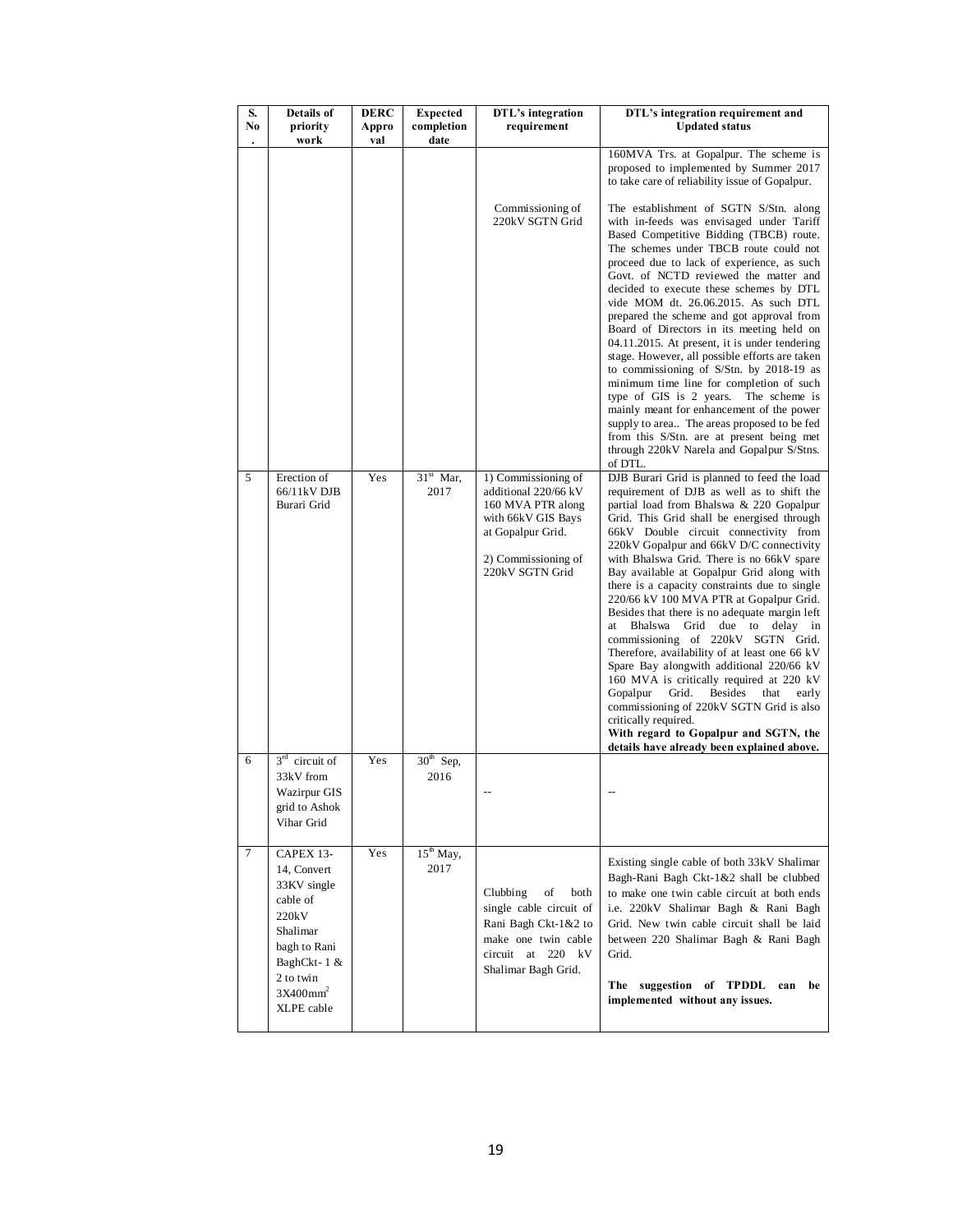| S.<br>No. | Details of<br>priority<br>work                                                                                                                             | DERC<br>Appro<br>val | <b>Expected</b><br>completion<br>date | DTL's integration<br>requirement                                                                                                                      | DTL's integration requirement and<br><b>Updated status</b>                                                                                                                                                                                                                                                                                                                                                                                                                                                                                                                                                                                                                                                                                                                                                                                                                                                                                                      |
|-----------|------------------------------------------------------------------------------------------------------------------------------------------------------------|----------------------|---------------------------------------|-------------------------------------------------------------------------------------------------------------------------------------------------------|-----------------------------------------------------------------------------------------------------------------------------------------------------------------------------------------------------------------------------------------------------------------------------------------------------------------------------------------------------------------------------------------------------------------------------------------------------------------------------------------------------------------------------------------------------------------------------------------------------------------------------------------------------------------------------------------------------------------------------------------------------------------------------------------------------------------------------------------------------------------------------------------------------------------------------------------------------------------|
|           |                                                                                                                                                            |                      |                                       |                                                                                                                                                       | 160MVA Trs. at Gopalpur. The scheme is<br>proposed to implemented by Summer 2017<br>to take care of reliability issue of Gopalpur.                                                                                                                                                                                                                                                                                                                                                                                                                                                                                                                                                                                                                                                                                                                                                                                                                              |
|           |                                                                                                                                                            |                      |                                       | Commissioning of<br>220kV SGTN Grid                                                                                                                   | The establishment of SGTN S/Stn. along<br>with in-feeds was envisaged under Tariff<br>Based Competitive Bidding (TBCB) route.<br>The schemes under TBCB route could not<br>proceed due to lack of experience, as such<br>Govt. of NCTD reviewed the matter and<br>decided to execute these schemes by DTL<br>vide MOM dt. 26.06.2015. As such DTL<br>prepared the scheme and got approval from<br>Board of Directors in its meeting held on<br>04.11.2015. At present, it is under tendering<br>stage. However, all possible efforts are taken<br>to commissioning of S/Stn. by 2018-19 as<br>minimum time line for completion of such<br>type of GIS is 2 years.<br>The scheme is<br>mainly meant for enhancement of the power<br>supply to area The areas proposed to be fed<br>from this S/Stn. are at present being met<br>through 220kV Narela and Gopalpur S/Stns.<br>of DTL.                                                                             |
| 5         | Erection of<br>66/11kV DJB<br>Burari Grid                                                                                                                  | Yes                  | $31st$ Mar,<br>2017                   | 1) Commissioning of<br>additional 220/66 kV<br>160 MVA PTR along<br>with 66kV GIS Bays<br>at Gopalpur Grid.<br>2) Commissioning of<br>220kV SGTN Grid | DJB Burari Grid is planned to feed the load<br>requirement of DJB as well as to shift the<br>partial load from Bhalswa & 220 Gopalpur<br>Grid. This Grid shall be energised through<br>66kV Double circuit connectivity from<br>220kV Gopalpur and 66kV D/C connectivity<br>with Bhalswa Grid. There is no 66kV spare<br>Bay available at Gopalpur Grid along with<br>there is a capacity constraints due to single<br>220/66 kV 100 MVA PTR at Gopalpur Grid.<br>Besides that there is no adequate margin left<br>Bhalswa<br>Grid<br>due to<br>delay in<br>at<br>commissioning of 220kV SGTN Grid.<br>Therefore, availability of at least one 66 kV<br>Spare Bay alongwith additional 220/66 kV<br>160 MVA is critically required at 220 kV<br>Grid.<br><b>Besides</b><br>Gopalpur<br>that<br>early<br>commissioning of 220kV SGTN Grid is also<br>critically required.<br>With regard to Gopalpur and SGTN, the<br>details have already been explained above. |
| 6         | $3rd$ circuit of<br>33kV from<br>Wazirpur GIS<br>grid to Ashok<br>Vihar Grid                                                                               | Yes                  | $30th$ Sep,<br>2016                   |                                                                                                                                                       |                                                                                                                                                                                                                                                                                                                                                                                                                                                                                                                                                                                                                                                                                                                                                                                                                                                                                                                                                                 |
| 7         | CAPEX 13-<br>14, Convert<br>33KV single<br>cable of<br>220kV<br>Shalimar<br>bagh to Rani<br>BaghCkt-1 &<br>2 to twin<br>3X400mm <sup>2</sup><br>XLPE cable | Yes                  | $15th$ May,<br>2017                   | Clubbing<br>of<br>both<br>single cable circuit of<br>Rani Bagh Ckt-1&2 to<br>make one twin cable<br>circuit at 220 kV<br>Shalimar Bagh Grid.          | Existing single cable of both 33kV Shalimar<br>Bagh-Rani Bagh Ckt-1&2 shall be clubbed<br>to make one twin cable circuit at both ends<br>i.e. 220kV Shalimar Bagh & Rani Bagh<br>Grid. New twin cable circuit shall be laid<br>between 220 Shalimar Bagh & Rani Bagh<br>Grid.<br>The suggestion of TPDDL can<br>be<br>implemented without any issues.                                                                                                                                                                                                                                                                                                                                                                                                                                                                                                                                                                                                           |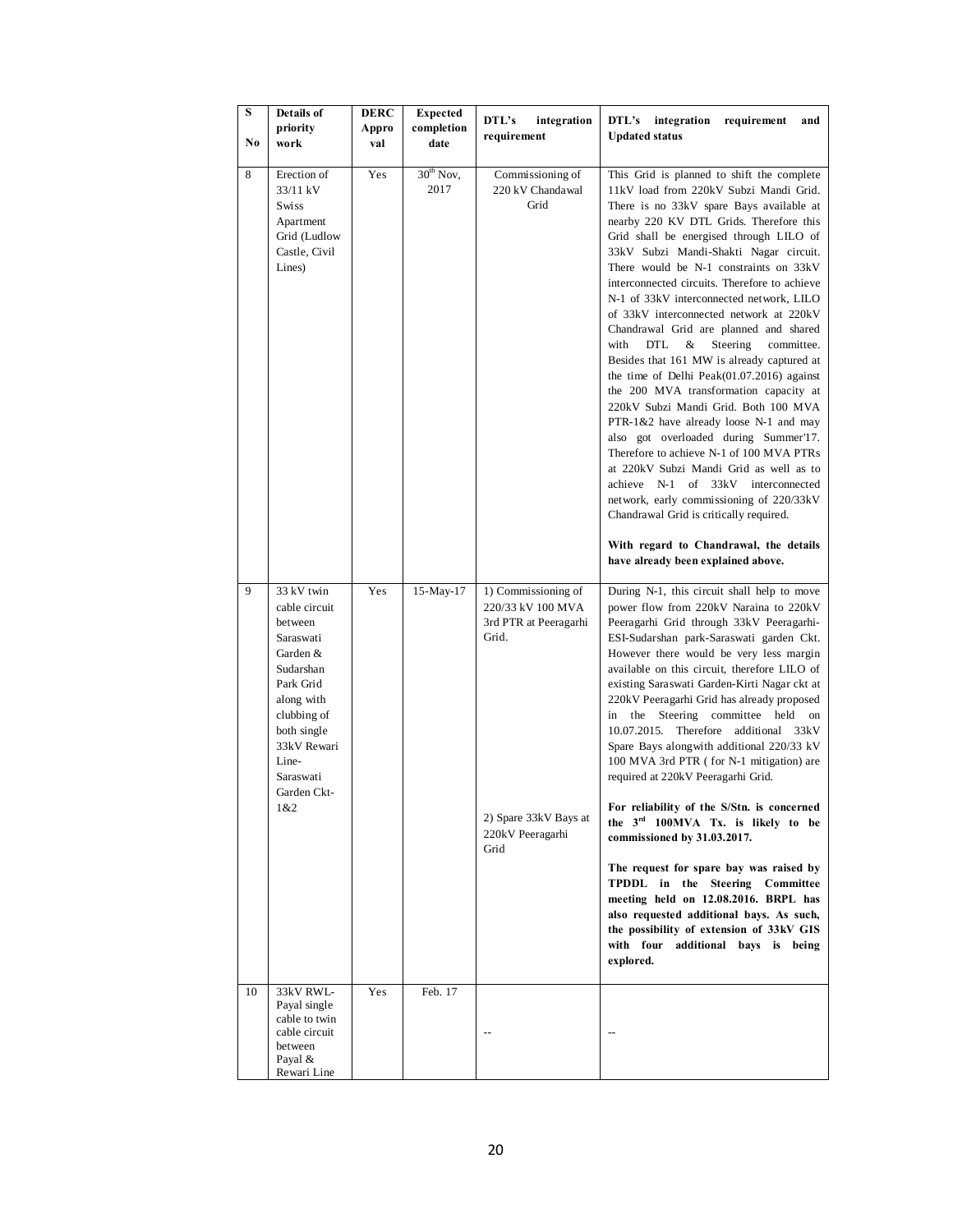| S<br>No | Details of<br>priority<br>work                                                                                                                                                                   | <b>DERC</b><br>Appro<br>val | <b>Expected</b><br>completion<br>date | DTL's<br>integration<br>requirement                                                                                             | DTL's<br>integration<br>requirement<br>and<br><b>Updated status</b>                                                                                                                                                                                                                                                                                                                                                                                                                                                                                                                                                                                                                                                                                                                                                                                                                                                                                                                                                                                                                                                |
|---------|--------------------------------------------------------------------------------------------------------------------------------------------------------------------------------------------------|-----------------------------|---------------------------------------|---------------------------------------------------------------------------------------------------------------------------------|--------------------------------------------------------------------------------------------------------------------------------------------------------------------------------------------------------------------------------------------------------------------------------------------------------------------------------------------------------------------------------------------------------------------------------------------------------------------------------------------------------------------------------------------------------------------------------------------------------------------------------------------------------------------------------------------------------------------------------------------------------------------------------------------------------------------------------------------------------------------------------------------------------------------------------------------------------------------------------------------------------------------------------------------------------------------------------------------------------------------|
| 8       | Erection of<br>33/11 kV<br>Swiss<br>Apartment<br>Grid (Ludlow<br>Castle, Civil<br>Lines)                                                                                                         | Yes                         | $30th$ Nov,<br>2017                   | Commissioning of<br>220 kV Chandawal<br>Grid                                                                                    | This Grid is planned to shift the complete<br>11kV load from 220kV Subzi Mandi Grid.<br>There is no 33kV spare Bays available at<br>nearby 220 KV DTL Grids. Therefore this<br>Grid shall be energised through LILO of<br>33kV Subzi Mandi-Shakti Nagar circuit.<br>There would be N-1 constraints on 33kV<br>interconnected circuits. Therefore to achieve<br>N-1 of 33kV interconnected network, LILO<br>of 33kV interconnected network at 220kV<br>Chandrawal Grid are planned and shared<br>with<br>DTL<br>&<br>Steering<br>committee.<br>Besides that 161 MW is already captured at<br>the time of Delhi Peak $(01.07.2016)$ against<br>the 200 MVA transformation capacity at<br>220kV Subzi Mandi Grid. Both 100 MVA<br>PTR-1&2 have already loose N-1 and may<br>also got overloaded during Summer'17.<br>Therefore to achieve N-1 of 100 MVA PTRs<br>at 220kV Subzi Mandi Grid as well as to<br>achieve N-1 of 33kV interconnected<br>network, early commissioning of 220/33kV<br>Chandrawal Grid is critically required.<br>With regard to Chandrawal, the details<br>have already been explained above. |
| 9       | 33 kV twin<br>cable circuit<br>between<br>Saraswati<br>Garden &<br>Sudarshan<br>Park Grid<br>along with<br>clubbing of<br>both single<br>33kV Rewari<br>Line-<br>Saraswati<br>Garden Ckt-<br>1&2 | Yes                         | 15-May-17                             | 1) Commissioning of<br>220/33 kV 100 MVA<br>3rd PTR at Peeragarhi<br>Grid.<br>2) Spare 33kV Bays at<br>220kV Peeragarhi<br>Grid | During N-1, this circuit shall help to move<br>power flow from 220kV Naraina to 220kV<br>Peeragarhi Grid through 33kV Peeragarhi-<br>ESI-Sudarshan park-Saraswati garden Ckt.<br>However there would be very less margin<br>available on this circuit, therefore LILO of<br>existing Saraswati Garden-Kirti Nagar ckt at<br>220kV Peeragarhi Grid has already proposed<br>the Steering committee held<br>in<br>on<br>10.07.2015. Therefore additional 33kV<br>Spare Bays along with additional 220/33 kV<br>100 MVA 3rd PTR (for N-1 mitigation) are<br>required at 220kV Peeragarhi Grid.<br>For reliability of the S/Stn. is concerned<br>the 3rd 100MVA Tx. is likely to be<br>commissioned by 31.03.2017.<br>The request for spare bay was raised by<br>TPDDL in the Steering Committee<br>meeting held on 12.08.2016. BRPL has<br>also requested additional bays. As such,<br>the possibility of extension of 33kV GIS<br>with four<br>additional bays is<br>being<br>explored.                                                                                                                               |
| 10      | 33kV RWL-<br>Payal single<br>cable to twin<br>cable circuit<br>between<br>Payal &<br>Rewari Line                                                                                                 | Yes                         | Feb. 17                               |                                                                                                                                 |                                                                                                                                                                                                                                                                                                                                                                                                                                                                                                                                                                                                                                                                                                                                                                                                                                                                                                                                                                                                                                                                                                                    |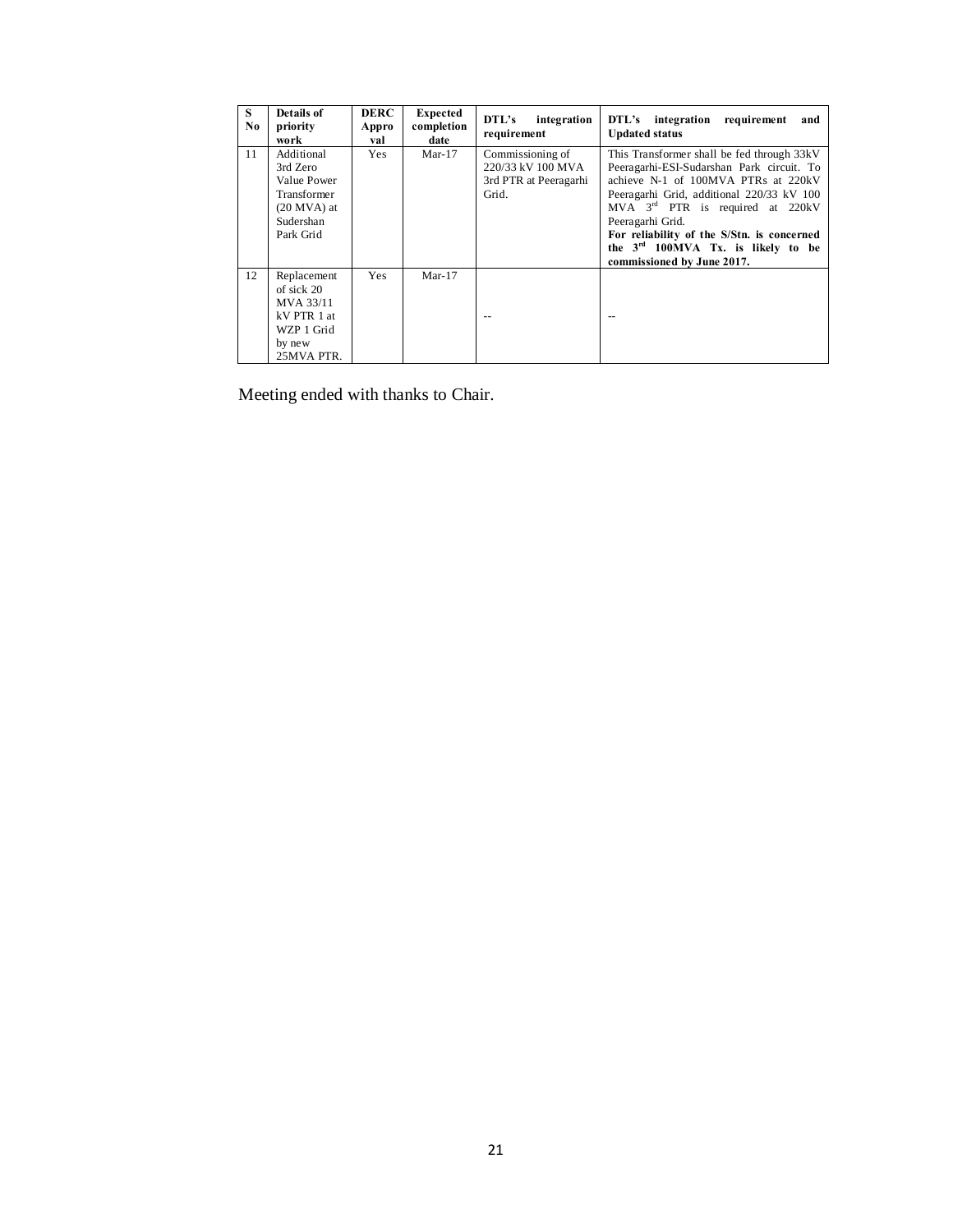| S.<br>No | Details of<br>priority<br>work                                                                  | <b>DERC</b><br>Appro<br>val | <b>Expected</b><br>completion<br>date | DTL's<br>integration<br>requirement                                     | DTL's integration requirement<br>and<br><b>Updated status</b>                                                                                                                                                                                                                                                                                                       |
|----------|-------------------------------------------------------------------------------------------------|-----------------------------|---------------------------------------|-------------------------------------------------------------------------|---------------------------------------------------------------------------------------------------------------------------------------------------------------------------------------------------------------------------------------------------------------------------------------------------------------------------------------------------------------------|
| 11       | Additional<br>3rd Zero<br>Value Power<br>Transformer<br>$(20$ MVA) at<br>Sudershan<br>Park Grid | <b>Yes</b>                  | $Mar-17$                              | Commissioning of<br>220/33 kV 100 MVA<br>3rd PTR at Peeragarhi<br>Grid. | This Transformer shall be fed through 33kV<br>Peeragarhi-ESI-Sudarshan Park circuit. To<br>achieve N-1 of 100MVA PTRs at 220kV<br>Peeragarhi Grid, additional 220/33 kV 100<br>MVA $3rd$ PTR is required at 220kV<br>Peeragarhi Grid.<br>For reliability of the S/Stn. is concerned<br>the 3 <sup>rd</sup> 100MVA Tx. is likely to be<br>commissioned by June 2017. |
| 12       | Replacement<br>of sick 20<br>MVA 33/11<br>kV PTR 1 at<br>WZP 1 Grid<br>by new<br>25MVA PTR.     | Yes                         | $Mar-17$                              | $-$                                                                     |                                                                                                                                                                                                                                                                                                                                                                     |

Meeting ended with thanks to Chair.